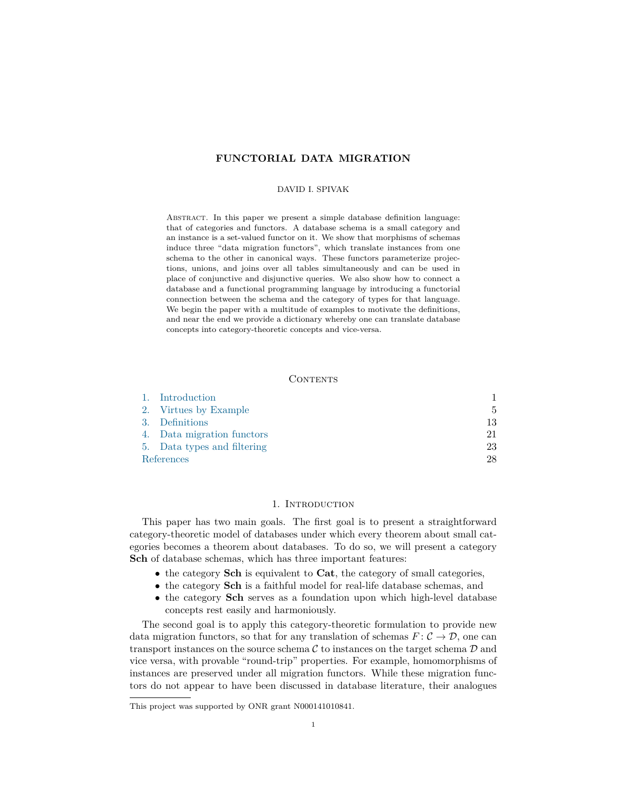# **FUNCTORIAL DATA MIGRATION**

### DAVID I. SPIVAK

Abstract. In this paper we present a simple database definition language: that of categories and functors. A database schema is a small category and an instance is a set-valued functor on it. We show that morphisms of schemas induce three "data migration functors", which translate instances from one schema to the other in canonical ways. These functors parameterize projections, unions, and joins over all tables simultaneously and can be used in place of conjunctive and disjunctive queries. We also show how to connect a database and a functional programming language by introducing a functorial connection between the schema and the category of types for that language. We begin the paper with a multitude of examples to motivate the definitions, and near the end we provide a dictionary whereby one can translate database concepts into category-theoretic concepts and vice-versa.

## **CONTENTS**

| 1. Introduction             |    |
|-----------------------------|----|
| 2. Virtues by Example       | 5  |
| 3. Definitions              | 13 |
| 4. Data migration functors  | 21 |
| 5. Data types and filtering | 23 |
| References                  | 28 |

## 1. INTRODUCTION

<span id="page-0-0"></span>This paper has two main goals. The first goal is to present a straightforward category-theoretic model of databases under which every theorem about small categories becomes a theorem about databases. To do so, we will present a category **Sch** of database schemas, which has three important features:

- the category **Sch** is equivalent to **Cat**, the category of small categories,
- the category **Sch** is a faithful model for real-life database schemas, and
- the category **Sch** serves as a foundation upon which high-level database concepts rest easily and harmoniously.

The second goal is to apply this category-theoretic formulation to provide new data migration functors, so that for any translation of schemas  $F: \mathcal{C} \to \mathcal{D}$ , one can transport instances on the source schema  $\mathcal C$  to instances on the target schema  $\mathcal D$  and vice versa, with provable "round-trip" properties. For example, homomorphisms of instances are preserved under all migration functors. While these migration functors do not appear to have been discussed in database literature, their analogues

This project was supported by ONR grant N000141010841.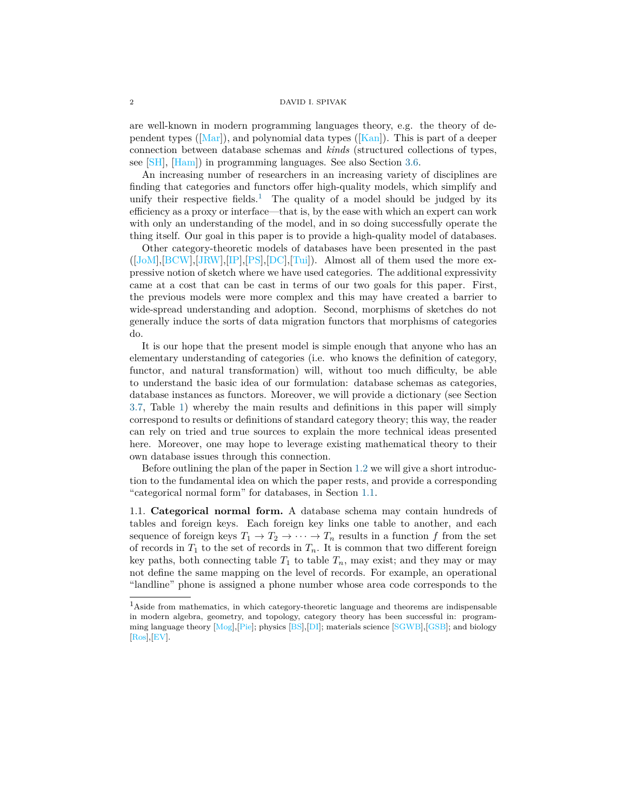are well-known in modern programming languages theory, e.g. the theory of dependent types ( $\lceil \text{Mar} \rceil$ ), and polynomial data types ( $\lceil \text{Kan} \rceil$ ). This is part of a deeper connection between database schemas and *kinds* (structured collections of types, see [\[SH\]](#page-29-0), [\[Ham\]](#page-28-2)) in programming languages. See also Section [3.6.](#page-19-0)

An increasing number of researchers in an increasing variety of disciplines are finding that categories and functors offer high-quality models, which simplify and unify their respective fields.<sup>[1](#page-1-0)</sup> The quality of a model should be judged by its efficiency as a proxy or interface—that is, by the ease with which an expert can work with only an understanding of the model, and in so doing successfully operate the thing itself. Our goal in this paper is to provide a high-quality model of databases.

Other category-theoretic models of databases have been presented in the past  $([J\text{oM}], [BCW], [JRW], [IP], [PS], [DC], [Tui])$  $([J\text{oM}], [BCW], [JRW], [IP], [PS], [DC], [Tui])$  $([J\text{oM}], [BCW], [JRW], [IP], [PS], [DC], [Tui])$  $([J\text{oM}], [BCW], [JRW], [IP], [PS], [DC], [Tui])$  $([J\text{oM}], [BCW], [JRW], [IP], [PS], [DC], [Tui])$  $([J\text{oM}], [BCW], [JRW], [IP], [PS], [DC], [Tui])$  $([J\text{oM}], [BCW], [JRW], [IP], [PS], [DC], [Tui])$  $([J\text{oM}], [BCW], [JRW], [IP], [PS], [DC], [Tui])$  $([J\text{oM}], [BCW], [JRW], [IP], [PS], [DC], [Tui])$  $([J\text{oM}], [BCW], [JRW], [IP], [PS], [DC], [Tui])$  $([J\text{oM}], [BCW], [JRW], [IP], [PS], [DC], [Tui])$  $([J\text{oM}], [BCW], [JRW], [IP], [PS], [DC], [Tui])$  $([J\text{oM}], [BCW], [JRW], [IP], [PS], [DC], [Tui])$ . Almost all of them used the more expressive notion of sketch where we have used categories. The additional expressivity came at a cost that can be cast in terms of our two goals for this paper. First, the previous models were more complex and this may have created a barrier to wide-spread understanding and adoption. Second, morphisms of sketches do not generally induce the sorts of data migration functors that morphisms of categories do.

It is our hope that the present model is simple enough that anyone who has an elementary understanding of categories (i.e. who knows the definition of category, functor, and natural transformation) will, without too much difficulty, be able to understand the basic idea of our formulation: database schemas as categories, database instances as functors. Moreover, we will provide a dictionary (see Section [3.7,](#page-20-1) Table [1\)](#page-20-2) whereby the main results and definitions in this paper will simply correspond to results or definitions of standard category theory; this way, the reader can rely on tried and true sources to explain the more technical ideas presented here. Moreover, one may hope to leverage existing mathematical theory to their own database issues through this connection.

Before outlining the plan of the paper in Section [1.2](#page-3-0) we will give a short introduction to the fundamental idea on which the paper rests, and provide a corresponding "categorical normal form" for databases, in Section [1.1.](#page-1-1)

<span id="page-1-1"></span>1.1. **Categorical normal form.** A database schema may contain hundreds of tables and foreign keys. Each foreign key links one table to another, and each sequence of foreign keys  $T_1 \to T_2 \to \cdots \to T_n$  results in a function f from the set of records in  $T_1$  to the set of records in  $T_n$ . It is common that two different foreign key paths, both connecting table  $T_1$  to table  $T_n$ , may exist; and they may or may not define the same mapping on the level of records. For example, an operational "landline" phone is assigned a phone number whose area code corresponds to the

<span id="page-1-0"></span><sup>1</sup>Aside from mathematics, in which category-theoretic language and theorems are indispensable in modern algebra, geometry, and topology, category theory has been successful in: programming language theory [\[Mog\]](#page-29-3),[\[Pie\]](#page-29-4); physics [\[BS\]](#page-27-2),[\[DI\]](#page-27-3); materials science [\[SGWB\]](#page-29-5),[\[GSB\]](#page-28-7); and biology [\[Ros\]](#page-29-6),[\[EV\]](#page-28-8).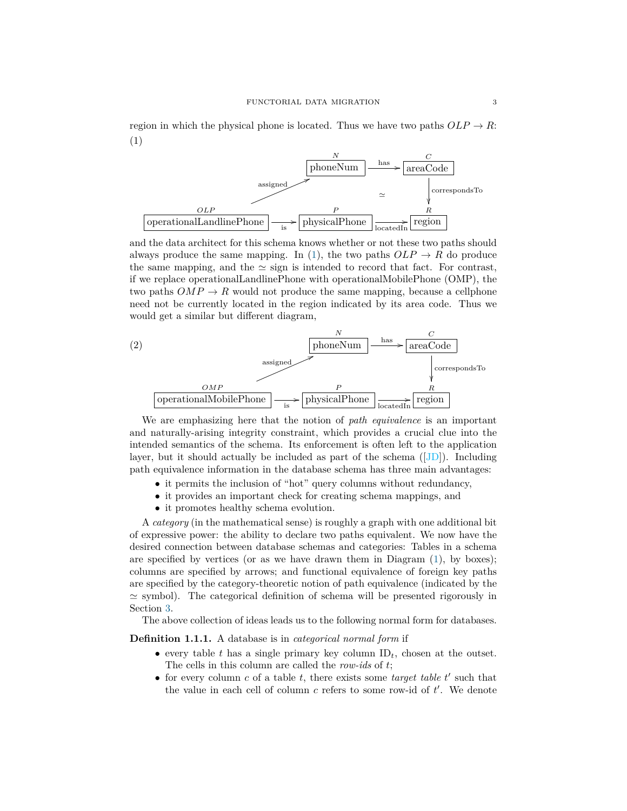<span id="page-2-0"></span>region in which the physical phone is located. Thus we have two paths  $OLP \rightarrow R$ : (1)



and the data architect for this schema knows whether or not these two paths should always produce the same mapping. In [\(1\)](#page-2-0), the two paths  $OLP \rightarrow R$  do produce the same mapping, and the  $\simeq$  sign is intended to record that fact. For contrast, if we replace operationalLandlinePhone with operationalMobilePhone (OMP), the two paths  $OMP \to R$  would not produce the same mapping, because a cellphone need not be currently located in the region indicated by its area code. Thus we would get a similar but different diagram,



We are emphasizing here that the notion of *path equivalence* is an important and naturally-arising integrity constraint, which provides a crucial clue into the intended semantics of the schema. Its enforcement is often left to the application layer, but it should actually be included as part of the schema ([\[JD\]](#page-28-9)). Including path equivalence information in the database schema has three main advantages:

- it permits the inclusion of "hot" query columns without redundancy,
- it provides an important check for creating schema mappings, and
- it promotes healthy schema evolution.

A *category* (in the mathematical sense) is roughly a graph with one additional bit of expressive power: the ability to declare two paths equivalent. We now have the desired connection between database schemas and categories: Tables in a schema are specified by vertices (or as we have drawn them in Diagram  $(1)$ , by boxes); columns are specified by arrows; and functional equivalence of foreign key paths are specified by the category-theoretic notion of path equivalence (indicated by the  $\simeq$  symbol). The categorical definition of schema will be presented rigorously in Section [3.](#page-12-0)

The above collection of ideas leads us to the following normal form for databases.

**Definition 1.1.1.** A database is in *categorical normal form* if

- every table  $t$  has a single primary key column  $ID_t$ , chosen at the outset. The cells in this column are called the *row-ids* of *t*;
- for every column  $c$  of a table  $t$ , there exists some *target table*  $t'$  such that the value in each cell of column  $c$  refers to some row-id of  $t'$ . We denote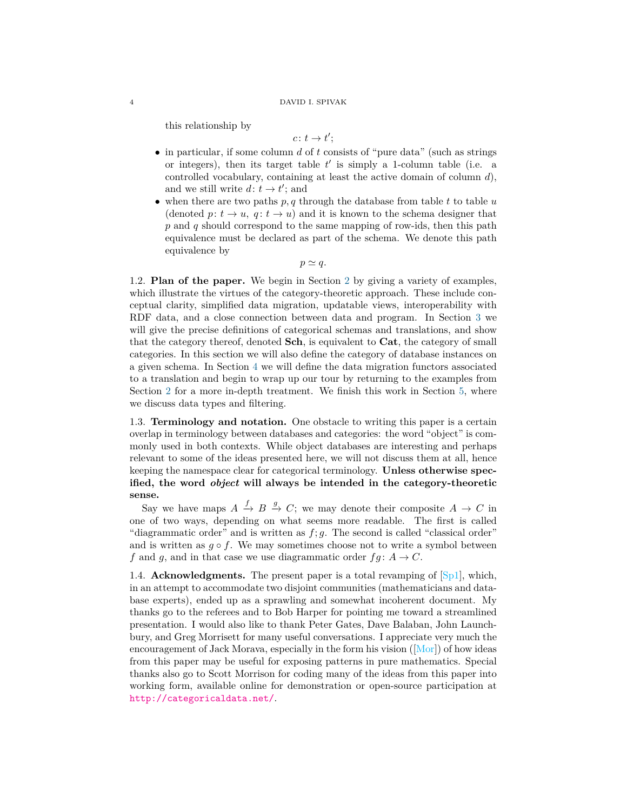this relationship by

$$
c\colon t\to t';
$$

- in particular, if some column *d* of *t* consists of "pure data" (such as strings or integers), then its target table  $t'$  is simply a 1-column table (i.e. a controlled vocabulary, containing at least the active domain of column *d*), and we still write  $d: t \to t'$ ; and
- when there are two paths *p, q* through the database from table *t* to table *u* (denoted  $p: t \to u$ ,  $q: t \to u$ ) and it is known to the schema designer that *p* and *q* should correspond to the same mapping of row-ids, then this path equivalence must be declared as part of the schema. We denote this path equivalence by

 $p \simeq q$ .

<span id="page-3-0"></span>1.2. **Plan of the paper.** We begin in Section [2](#page-4-0) by giving a variety of examples, which illustrate the virtues of the category-theoretic approach. These include conceptual clarity, simplified data migration, updatable views, interoperability with RDF data, and a close connection between data and program. In Section [3](#page-12-0) we will give the precise definitions of categorical schemas and translations, and show that the category thereof, denoted **Sch**, is equivalent to **Cat**, the category of small categories. In this section we will also define the category of database instances on a given schema. In Section [4](#page-20-0) we will define the data migration functors associated to a translation and begin to wrap up our tour by returning to the examples from Section [2](#page-4-0) for a more in-depth treatment. We finish this work in Section [5,](#page-22-0) where we discuss data types and filtering.

1.3. **Terminology and notation.** One obstacle to writing this paper is a certain overlap in terminology between databases and categories: the word "object" is commonly used in both contexts. While object databases are interesting and perhaps relevant to some of the ideas presented here, we will not discuss them at all, hence keeping the namespace clear for categorical terminology. **Unless otherwise specified, the word** *object* **will always be intended in the category-theoretic sense.**

Say we have maps  $A \xrightarrow{f} B \xrightarrow{g} C$ ; we may denote their composite  $A \to C$  in one of two ways, depending on what seems more readable. The first is called "diagrammatic order" and is written as *f*; *g*. The second is called "classical order" and is written as  $g \circ f$ . We may sometimes choose not to write a symbol between *f* and *g*, and in that case we use diagrammatic order  $fg: A \rightarrow C$ .

1.4. **Acknowledgments.** The present paper is a total revamping of  $[\text{Spl}]$ , which, in an attempt to accommodate two disjoint communities (mathematicians and database experts), ended up as a sprawling and somewhat incoherent document. My thanks go to the referees and to Bob Harper for pointing me toward a streamlined presentation. I would also like to thank Peter Gates, Dave Balaban, John Launchbury, and Greg Morrisett for many useful conversations. I appreciate very much the encouragement of Jack Morava, especially in the form his vision ([\[Mor\]](#page-29-8)) of how ideas from this paper may be useful for exposing patterns in pure mathematics. Special thanks also go to Scott Morrison for coding many of the ideas from this paper into working form, available online for demonstration or open-source participation at <http://categoricaldata.net/>.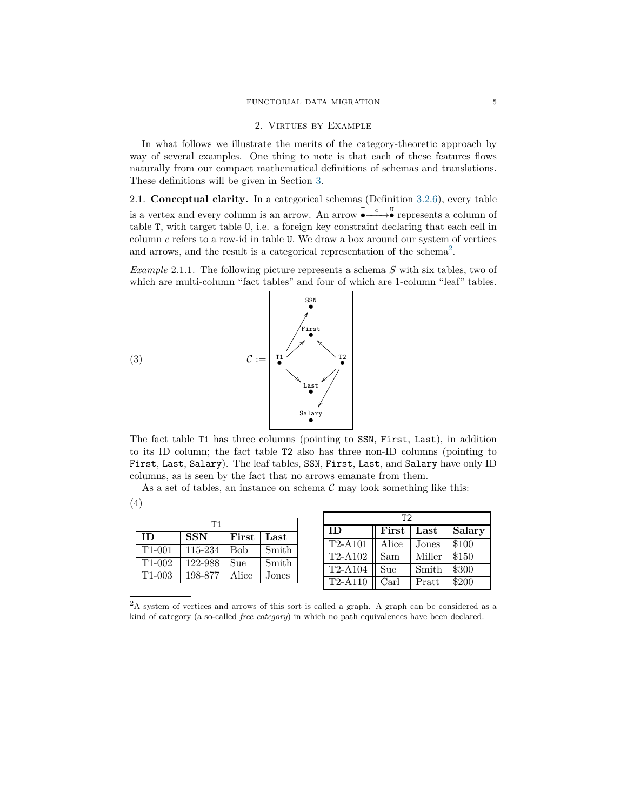## 2. Virtues by Example

<span id="page-4-0"></span>In what follows we illustrate the merits of the category-theoretic approach by way of several examples. One thing to note is that each of these features flows naturally from our compact mathematical definitions of schemas and translations. These definitions will be given in Section [3.](#page-12-0)

2.1. **Conceptual clarity.** In a categorical schemas (Definition [3.2.6\)](#page-14-0), every table is a vertex and every column is an arrow. An arrow  $\stackrel{T}{\bullet} \stackrel{c}{\longrightarrow} \stackrel{U}{\bullet}$  represents a column of table T, with target table U, i.e. a foreign key constraint declaring that each cell in column *c* refers to a row-id in table U. We draw a box around our system of vertices and arrows, and the result is a categorical representation of the schema<sup>[2](#page-4-1)</sup>.

<span id="page-4-2"></span>*Example* 2.1.1*.* The following picture represents a schema *S* with six tables, two of which are multi-column "fact tables" and four of which are 1-column "leaf" tables.



The fact table T1 has three columns (pointing to SSN, First, Last), in addition to its ID column; the fact table T2 also has three non-ID columns (pointing to First, Last, Salary). The leaf tables, SSN, First, Last, and Salary have only ID columns, as is seen by the fact that no arrows emanate from them.

<span id="page-4-3"></span>As a set of tables, an instance on schema  $\mathcal C$  may look something like this: (4)

| Τ1                  |            |             |       |  |  |  |  |  |  |  |
|---------------------|------------|-------------|-------|--|--|--|--|--|--|--|
| <b>ID</b>           | <b>SSN</b> | First       | Last  |  |  |  |  |  |  |  |
| $T1-001$            | 115-234    | <b>B</b> ob | Smith |  |  |  |  |  |  |  |
| $T1-002$            | 122-988    | Sue         | Smith |  |  |  |  |  |  |  |
| T <sub>1</sub> -003 | 198-877    | Alice       | Jones |  |  |  |  |  |  |  |

| ፐን                                 |       |        |        |  |  |  |  |  |  |  |
|------------------------------------|-------|--------|--------|--|--|--|--|--|--|--|
| ID                                 | First | Last   | Salary |  |  |  |  |  |  |  |
| $\overline{\text{T}}2\text{-}A101$ | Alice | Jones  | \$100  |  |  |  |  |  |  |  |
| $\overline{T}2-A102$               | Sam   | Miller | \$150  |  |  |  |  |  |  |  |
| T2-A104                            | Sue   | Smith  | \$300  |  |  |  |  |  |  |  |
| T2-A110                            | Carl  | Pratt  | \$200  |  |  |  |  |  |  |  |

<span id="page-4-1"></span><sup>&</sup>lt;sup>2</sup>A system of vertices and arrows of this sort is called a graph. A graph can be considered as a kind of category (a so-called *free category*) in which no path equivalences have been declared.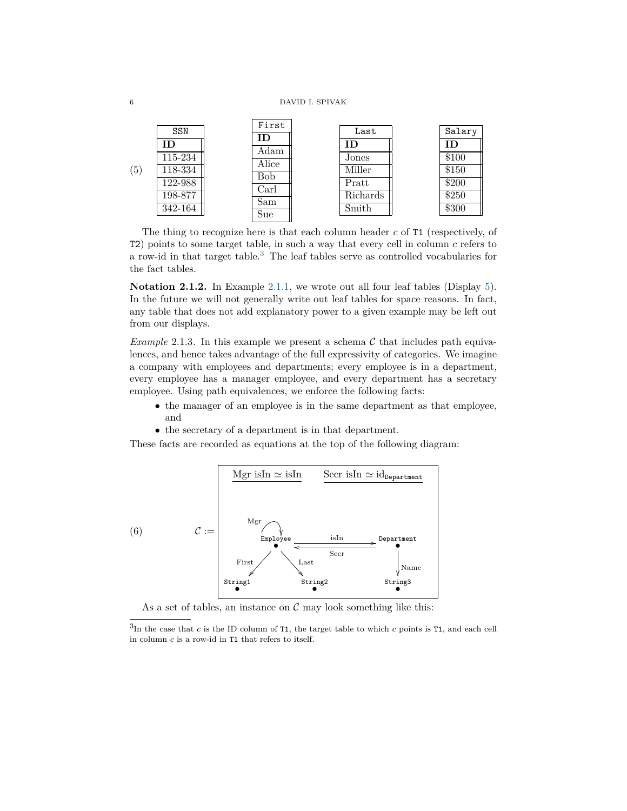<span id="page-5-1"></span>

|     | <b>SSN</b> | First<br>ID | Last     | Salary |
|-----|------------|-------------|----------|--------|
|     | ID         | Adam        | ΙD       | ΙD     |
|     | 115-234    | Alice       | Jones    | \$100  |
| (5) | 118-334    | <b>Bob</b>  | Miller   | \$150  |
|     | 122-988    | Carl        | Pratt    | \$200  |
|     | 198-877    | Sam         | Richards | \$250  |
|     | 342-164    | Sue         | Smith    | \$300  |

The thing to recognize here is that each column header *c* of T1 (respectively, of T2) points to some target table, in such a way that every cell in column *c* refers to a row-id in that target table.[3](#page-5-0) The leaf tables serve as controlled vocabularies for the fact tables.

**Notation 2.1.2.** In Example [2.1.1,](#page-4-2) we wrote out all four leaf tables (Display [5\)](#page-5-1). In the future we will not generally write out leaf tables for space reasons. In fact, any table that does not add explanatory power to a given example may be left out from our displays.

<span id="page-5-2"></span>*Example* 2.1.3. In this example we present a schema  $\mathcal C$  that includes path equivalences, and hence takes advantage of the full expressivity of categories. We imagine a company with employees and departments; every employee is in a department, every employee has a manager employee, and every department has a secretary employee. Using path equivalences, we enforce the following facts:

- the manager of an employee is in the same department as that employee, and
- the secretary of a department is in that department.

These facts are recorded as equations at the top of the following diagram:

<span id="page-5-3"></span>

As a set of tables, an instance on  $\mathcal C$  may look something like this:

<span id="page-5-0"></span><sup>3</sup> In the case that *c* is the ID column of T1, the target table to which *c* points is T1, and each cell in column *c* is a row-id in T1 that refers to itself.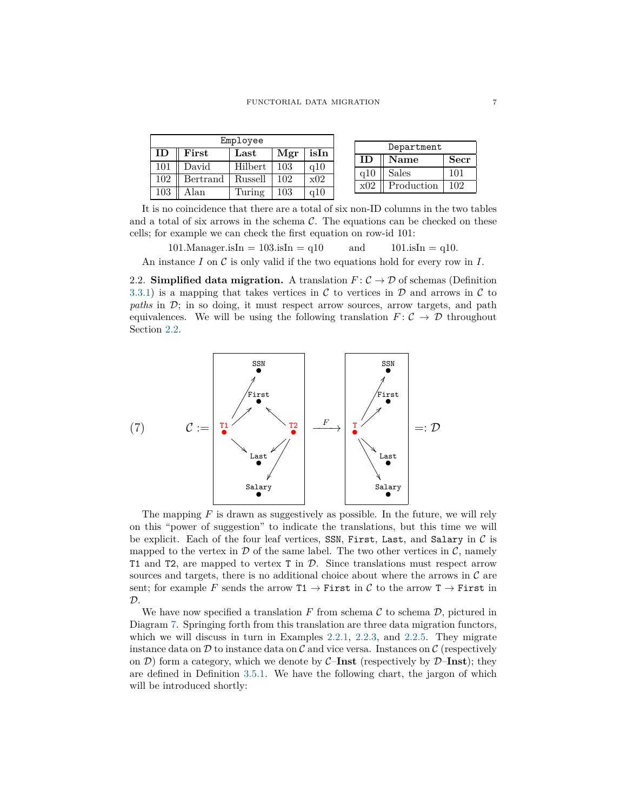|                                                     |          | Employee |                |     |  |     |              |      |
|-----------------------------------------------------|----------|----------|----------------|-----|--|-----|--------------|------|
| First<br>isIn<br>Mgr<br>$\operatorname{Last}$<br>ID |          |          |                |     |  |     | Department   |      |
|                                                     |          |          |                |     |  |     | <b>Name</b>  | Secr |
| 101                                                 | David    | Hilbert  | 103            | q10 |  | a10 | <b>Sales</b> | 101  |
| 102                                                 | Bertrand | Russell  | 0 <sup>2</sup> | x02 |  |     |              |      |
| $103\,$                                             | Alan     | Turing   | 103            | q10 |  | x02 | Production   | 102  |
|                                                     |          |          |                |     |  |     |              |      |

It is no coincidence that there are a total of six non-ID columns in the two tables and a total of six arrows in the schema  $\mathcal{C}$ . The equations can be checked on these cells; for example we can check the first equation on row-id 101:

101.Manager.isIn =  $103.\text{isIn} = q10$  and  $101.\text{isIn} = q10$ .

An instance *I* on C is only valid if the two equations hold for every row in *I*.

<span id="page-6-0"></span>2.2. **Simplified data migration.** A translation  $F: \mathcal{C} \to \mathcal{D}$  of schemas (Definition [3.3.1\)](#page-15-0) is a mapping that takes vertices in  $\mathcal C$  to vertices in  $\mathcal D$  and arrows in  $\mathcal C$  to *paths* in D; in so doing, it must respect arrow sources, arrow targets, and path equivalences. We will be using the following translation  $F: \mathcal{C} \to \mathcal{D}$  throughout Section [2.2.](#page-6-0)

<span id="page-6-1"></span>

The mapping *F* is drawn as suggestively as possible. In the future, we will rely on this "power of suggestion" to indicate the translations, but this time we will be explicit. Each of the four leaf vertices, SSN, First, Last, and Salary in  $C$  is mapped to the vertex in  $\mathcal D$  of the same label. The two other vertices in  $\mathcal C$ , namely T1 and T2, are mapped to vertex T in D. Since translations must respect arrow sources and targets, there is no additional choice about where the arrows in  $\mathcal C$  are sent; for example *F* sends the arrow  $T1 \rightarrow$  First in C to the arrow  $T \rightarrow$  First in  $\mathcal{D}.$ 

We have now specified a translation  $F$  from schema  $\mathcal C$  to schema  $\mathcal D$ , pictured in Diagram [7.](#page-6-1) Springing forth from this translation are three data migration functors, which we will discuss in turn in Examples [2.2.1,](#page-7-0) [2.2.3,](#page-8-0) and [2.2.5.](#page-8-1) They migrate instance data on  $\mathcal D$  to instance data on  $\mathcal C$  and vice versa. Instances on  $\mathcal C$  (respectively on  $\mathcal{D}$ ) form a category, which we denote by  $\mathcal{C}-\mathbf{Inst}$  (respectively by  $\mathcal{D}-\mathbf{Inst}$ ); they are defined in Definition [3.5.1.](#page-18-0) We have the following chart, the jargon of which will be introduced shortly: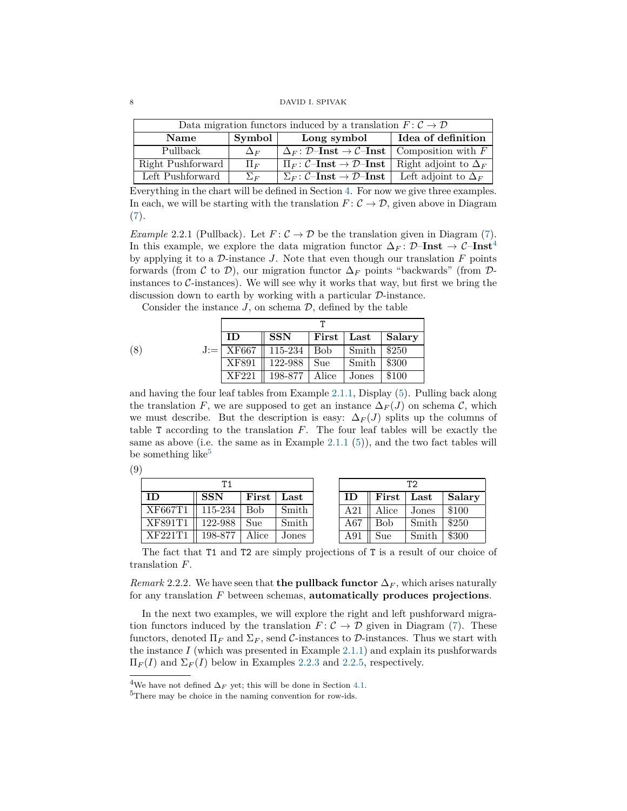| Data migration functors induced by a translation $F: \mathcal{C} \to \mathcal{D}$ |            |                                                                                                       |                    |  |  |  |  |  |  |
|-----------------------------------------------------------------------------------|------------|-------------------------------------------------------------------------------------------------------|--------------------|--|--|--|--|--|--|
| Name                                                                              | Symbol     | Long symbol                                                                                           | Idea of definition |  |  |  |  |  |  |
| Pullback                                                                          | $\Delta_F$ | $\Delta_F \colon \mathcal{D}\text{-Inst} \to \mathcal{C}\text{-Inst}$ Composition with F              |                    |  |  |  |  |  |  |
| Right Pushforward                                                                 | $\Pi_F$    | $\Pi_F \colon \mathcal{C}\text{-Inst} \to \mathcal{D}\text{-Inst}  \text{Right adjoint to } \Delta_F$ |                    |  |  |  |  |  |  |
| Left Pushforward                                                                  | $\Sigma_F$ | $\Sigma_F \colon \mathcal{C}\text{-Inst} \to \mathcal{D}\text{-Inst}$ Left adjoint to $\Delta_F$      |                    |  |  |  |  |  |  |

Everything in the chart will be defined in Section [4.](#page-20-0) For now we give three examples. In each, we will be starting with the translation  $F: \mathcal{C} \to \mathcal{D}$ , given above in Diagram [\(7\)](#page-6-1).

<span id="page-7-0"></span>*Example* 2.2.1 (Pullback). Let  $F: C \to \mathcal{D}$  be the translation given in Diagram [\(7\)](#page-6-1). In this example, we explore the data migration functor  $\Delta_F$ : D–**Inst** → C–**Inst**<sup>[4](#page-7-1)</sup> by applying it to a  $\mathcal{D}$ -instance  $J$ . Note that even though our translation  $F$  points forwards (from C to D), our migration functor ∆*<sup>F</sup>* points "backwards" (from Dinstances to  $\mathcal{C}\text{-instances}$ . We will see why it works that way, but first we bring the discussion down to earth by working with a particular D-instance.

Consider the instance  $J$ , on schema  $\mathcal{D}$ , defined by the table

<span id="page-7-3"></span>

|     | <b>ID</b> | <b>SSN</b>              | First | $\operatorname{Last}$ | Salary |  |  |  |  |  |
|-----|-----------|-------------------------|-------|-----------------------|--------|--|--|--|--|--|
| (8) |           | $J =   XF667   115-234$ | Bob   | Smith                 | \$250  |  |  |  |  |  |
|     | XF891     | 122-988                 | Sue   | Smith                 | \$300  |  |  |  |  |  |
|     | XF221     | 198-877                 | Alice | Jones                 | \$100  |  |  |  |  |  |

and having the four leaf tables from Example [2.1.1,](#page-4-2) Display [\(5\)](#page-5-1). Pulling back along the translation *F*, we are supposed to get an instance  $\Delta_F(J)$  on schema C, which we must describe. But the description is easy:  $\Delta_F(J)$  splits up the columns of table T according to the translation *F*. The four leaf tables will be exactly the same as above (i.e. the same as in Example [2.1.1](#page-4-2)  $(5)$ ), and the two fact tables will be something like<sup>[5](#page-7-2)</sup>

<span id="page-7-4"></span>

| (9) |         |            |       |       |     |       |                       |        |
|-----|---------|------------|-------|-------|-----|-------|-----------------------|--------|
|     |         | T1         |       |       |     |       | T <sub>2</sub>        |        |
|     | ID      | <b>SSN</b> | First | Last  | ID  | First | $\operatorname{Last}$ | Salary |
|     | XF667T1 | 115-234    | Bob   | Smith | A21 | Alice | Jones                 | \$100  |
|     | XF891T1 | 122-988    | Sue   | Smith | A67 | Bob   | Smith                 | \$250  |
|     | XF221T1 | 198-877    | Alice | Jones | A91 | Sue   | Smith                 | \$300  |

The fact that T1 and T2 are simply projections of T is a result of our choice of translation *F*.

*Remark* 2.2.2*.* We have seen that **the pullback functor**  $\Delta_F$ , which arises naturally for any translation *F* between schemas, **automatically produces projections**.

In the next two examples, we will explore the right and left pushforward migration functors induced by the translation  $F: \mathcal{C} \to \mathcal{D}$  given in Diagram [\(7\)](#page-6-1). These functors, denoted  $\Pi_F$  and  $\Sigma_F$ , send C-instances to D-instances. Thus we start with the instance  $I$  (which was presented in Example [2.1.1\)](#page-4-2) and explain its pushforwards  $\Pi_F(I)$  and  $\Sigma_F(I)$  below in Examples [2.2.3](#page-8-0) and [2.2.5,](#page-8-1) respectively.

<span id="page-7-1"></span><sup>&</sup>lt;sup>4</sup>We have not defined  $\Delta_F$  yet; this will be done in Section [4.1.](#page-21-0)

<span id="page-7-2"></span><sup>5</sup>There may be choice in the naming convention for row-ids.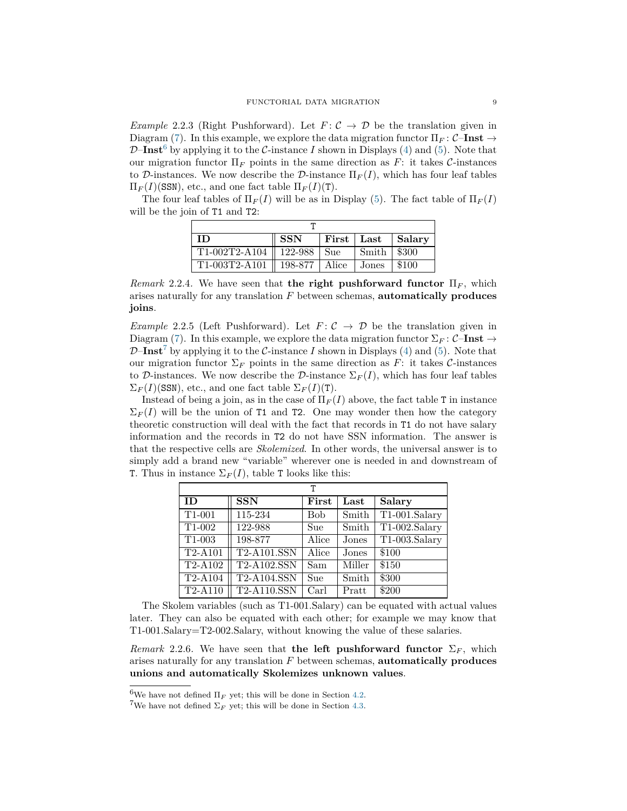<span id="page-8-0"></span>*Example* 2.2.3 (Right Pushforward). Let  $F: \mathcal{C} \to \mathcal{D}$  be the translation given in Diagram [\(7\)](#page-6-1). In this example, we explore the data migration functor  $\Pi_F : \mathcal{C}-\mathbf{Inst} \to$  $\mathcal{D}-\mathbf{Inst}^6$  $\mathcal{D}-\mathbf{Inst}^6$  by applying it to the C-instance I shown in Displays [\(4\)](#page-4-3) and [\(5\)](#page-5-1). Note that our migration functor  $\Pi_F$  points in the same direction as  $F$ : it takes  $\mathcal{C}\text{-instances}$ to D-instances. We now describe the D-instance  $\Pi_F(I)$ , which has four leaf tables  $\Pi_F(I)$ (SSN), etc., and one fact table  $\Pi_F(I)(T)$ .

The four leaf tables of  $\Pi_F(I)$  will be as in Display [\(5\)](#page-5-1). The fact table of  $\Pi_F(I)$ will be the join of T1 and T2:

| ' ID-                            | $^{\circ}$ SSN $^{\circ}$ |  |               | First   Last   Salary |  |  |  |  |  |  |
|----------------------------------|---------------------------|--|---------------|-----------------------|--|--|--|--|--|--|
| $T1-002T2-A104$   122-988   Sue  |                           |  | Smith   \$300 |                       |  |  |  |  |  |  |
| T1-003T2-A101    198-877   Alice |                           |  | Jones         | \$100                 |  |  |  |  |  |  |

*Remark* 2.2.4*.* We have seen that **the right pushforward functor**  $\Pi_F$ , which arises naturally for any translation *F* between schemas, **automatically produces joins**.

<span id="page-8-1"></span>*Example* 2.2.5 (Left Pushforward). Let  $F: \mathcal{C} \to \mathcal{D}$  be the translation given in Diagram [\(7\)](#page-6-1). In this example, we explore the data migration functor  $\Sigma_F : \mathcal{C}-\mathbf{Inst} \to$  $\mathcal{D}-\mathbf{Inst}^7$  $\mathcal{D}-\mathbf{Inst}^7$  by applying it to the C-instance I shown in Displays [\(4\)](#page-4-3) and [\(5\)](#page-5-1). Note that our migration functor  $\Sigma_F$  points in the same direction as F: it takes C-instances to D-instances. We now describe the D-instance  $\Sigma_F(I)$ , which has four leaf tables  $\Sigma_F(I)$ (SSN), etc., and one fact table  $\Sigma_F(I)(T)$ .

Instead of being a join, as in the case of  $\Pi_F(I)$  above, the fact table T in instance  $\Sigma_F(I)$  will be the union of T1 and T2. One may wonder then how the category theoretic construction will deal with the fact that records in T1 do not have salary information and the records in T2 do not have SSN information. The answer is that the respective cells are *Skolemized*. In other words, the universal answer is to simply add a brand new "variable" wherever one is needed in and downstream of T. Thus in instance  $\Sigma_F(I)$ , table T looks like this:

| т                            |                                  |            |        |                              |  |  |  |  |  |  |
|------------------------------|----------------------------------|------------|--------|------------------------------|--|--|--|--|--|--|
| <b>ID</b>                    | <b>SSN</b>                       | First      | Last   | Salary                       |  |  |  |  |  |  |
| $T1-001$                     | $115 - 234$                      | <b>Bob</b> | Smith  | $\overline{T1-001}$ . Salary |  |  |  |  |  |  |
| T1-002                       | 122-988                          | Sue        | Smith  | $\overline{T1-002.Sa}$ lary  |  |  |  |  |  |  |
| T <sub>1</sub> -003          | 198-877                          | Alice      | Jones  | T1-003.Salary                |  |  |  |  |  |  |
| $\overline{\text{T2-A}}$ 101 | $\overline{\text{T2-A101}}$ .SSN | Alice      | Jones  | \$100                        |  |  |  |  |  |  |
| $T2-A102$                    | $\overline{\text{T2-A102.S}}$ SN | Sam        | Miller | \$150                        |  |  |  |  |  |  |
| $\overline{\text{T2-A104}}$  | T2-A104.SSN                      | Sue        | Smith  | \$300                        |  |  |  |  |  |  |
| $T2-A110$                    | <b>T2-A110.SSN</b>               | Carl       | Pratt  | \$200                        |  |  |  |  |  |  |

The Skolem variables (such as T1-001.Salary) can be equated with actual values later. They can also be equated with each other; for example we may know that T1-001.Salary=T2-002.Salary, without knowing the value of these salaries.

*Remark* 2.2.6. We have seen that **the left pushforward functor**  $\Sigma_F$ , which arises naturally for any translation *F* between schemas, **automatically produces unions and automatically Skolemizes unknown values**.

<span id="page-8-2"></span><sup>&</sup>lt;sup>6</sup>We have not defined  $\Pi_F$  yet; this will be done in Section [4.2.](#page-21-1)

<span id="page-8-3"></span><sup>&</sup>lt;sup>7</sup>We have not defined  $\Sigma_F$  yet; this will be done in Section [4.3.](#page-22-1)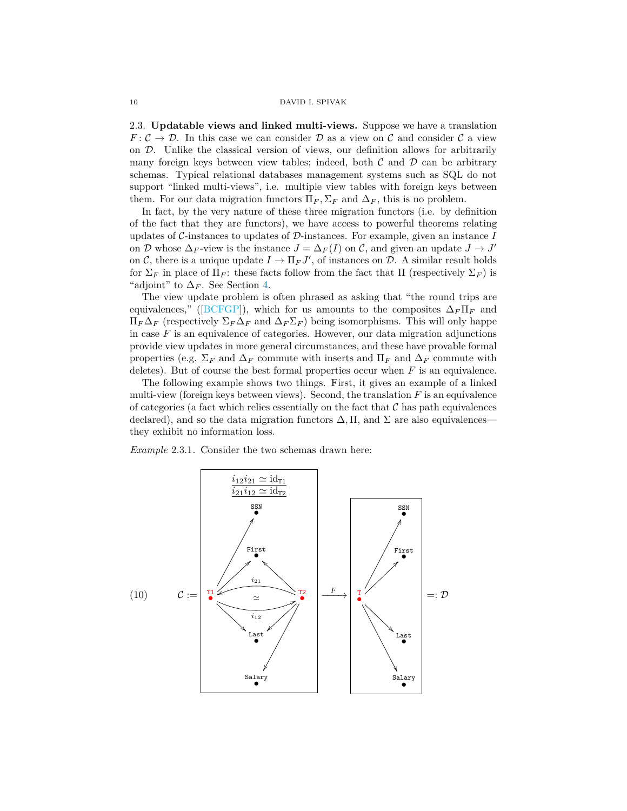2.3. **Updatable views and linked multi-views.** Suppose we have a translation  $F: \mathcal{C} \to \mathcal{D}$ . In this case we can consider  $\mathcal{D}$  as a view on  $\mathcal{C}$  and consider  $\mathcal{C}$  a view on D. Unlike the classical version of views, our definition allows for arbitrarily many foreign keys between view tables; indeed, both  $\mathcal C$  and  $\mathcal D$  can be arbitrary schemas. Typical relational databases management systems such as SQL do not support "linked multi-views", i.e. multiple view tables with foreign keys between them. For our data migration functors  $\Pi_F$ ,  $\Sigma_F$  and  $\Delta_F$ , this is no problem.

In fact, by the very nature of these three migration functors (i.e. by definition of the fact that they are functors), we have access to powerful theorems relating updates of C-instances to updates of D-instances. For example, given an instance *I* on D whose  $\Delta_F$ -view is the instance  $J = \Delta_F(I)$  on C, and given an update  $J \to J'$ on C, there is a unique update  $I \to \Pi_F J'$ , of instances on D. A similar result holds for  $\Sigma_F$  in place of  $\Pi_F$ : these facts follow from the fact that  $\Pi$  (respectively  $\Sigma_F$ ) is "adjoint" to  $\Delta_F$ . See Section [4.](#page-20-0)

The view update problem is often phrased as asking that "the round trips are equivalences," ( $[BCFGP]$ ), which for us amounts to the composites  $\Delta_F \Pi_F$  and  $\Pi_F\Delta_F$  (respectively  $\Sigma_F\Delta_F$  and  $\Delta_F\Sigma_F$ ) being isomorphisms. This will only happe in case  $F$  is an equivalence of categories. However, our data migration adjunctions provide view updates in more general circumstances, and these have provable formal properties (e.g.  $\Sigma_F$  and  $\Delta_F$  commute with inserts and  $\Pi_F$  and  $\Delta_F$  commute with deletes). But of course the best formal properties occur when  $F$  is an equivalence.

The following example shows two things. First, it gives an example of a linked multi-view (foreign keys between views). Second, the translation *F* is an equivalence of categories (a fact which relies essentially on the fact that  $\mathcal C$  has path equivalences declared), and so the data migration functors  $\Delta$ , II, and  $\Sigma$  are also equivalences they exhibit no information loss.

<span id="page-9-0"></span>*Example* 2.3.1*.* Consider the two schemas drawn here:

<span id="page-9-1"></span>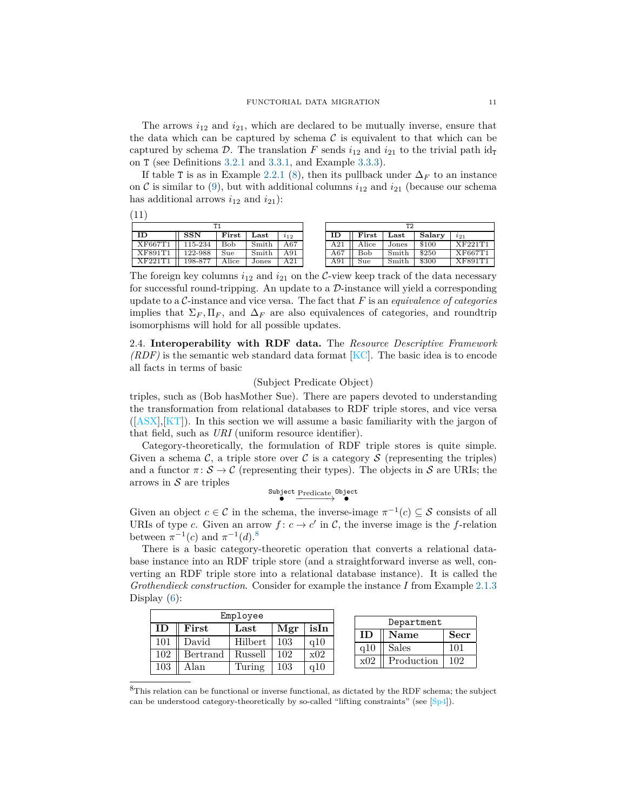The arrows  $i_{12}$  and  $i_{21}$ , which are declared to be mutually inverse, ensure that the data which can be captured by schema  $\mathcal C$  is equivalent to that which can be captured by schema D. The translation F sends  $i_{12}$  and  $i_{21}$  to the trivial path  $id_{\text{t}}$ on T (see Definitions [3.2.1](#page-13-0) and [3.3.1,](#page-15-0) and Example [3.3.3\)](#page-16-0).

If table T is as in Example [2.2.1](#page-7-0) [\(8\)](#page-7-3), then its pullback under  $\Delta_F$  to an instance on  $\mathcal C$  is similar to [\(9\)](#page-7-4), but with additional columns  $i_{12}$  and  $i_{21}$  (because our schema has additional arrows  $i_{12}$  and  $i_{21}$ ):

| <b>TP 4</b>            |             |       |       |                      |     | ፐን         |               |        |                |
|------------------------|-------------|-------|-------|----------------------|-----|------------|---------------|--------|----------------|
| $\overline{\text{ID}}$ | SSN         | First | Last  | $\imath_{12}$        | ΙD  | First      | $_{\rm Last}$ | Salary | $i_{21}$       |
| XF667T1                | $115 - 234$ | Bob   | Smith | $\overline{\rm A67}$ | A21 | Alice      | Jones         | \$100  | <b>XF221T1</b> |
| XF891T1                | 122-988     | Sue   | Smith | A91                  | A67 | <b>Bob</b> | Smith         | \$250  | XF667T1        |
| XF221T1                | 198-877     | Alice | Jones | A21                  | A91 | Sue        | Smith         | \$300  | XF891T1        |

The foreign key columns  $i_{12}$  and  $i_{21}$  on the C-view keep track of the data necessary for successful round-tripping. An update to a  $\mathcal{D}$ -instance will yield a corresponding update to a C-instance and vice versa. The fact that *F* is an *equivalence of categories* implies that  $\Sigma_F$ ,  $\Pi_F$ , and  $\Delta_F$  are also equivalences of categories, and roundtrip isomorphisms will hold for all possible updates.

<span id="page-10-1"></span>2.4. **Interoperability with RDF data.** The *Resource Descriptive Framework (RDF)* is the semantic web standard data format [\[KC\]](#page-28-10). The basic idea is to encode all facts in terms of basic

# (Subject Predicate Object)

triples, such as (Bob hasMother Sue). There are papers devoted to understanding the transformation from relational databases to RDF triple stores, and vice versa  $([ASX],[KT])$  $([ASX],[KT])$  $([ASX],[KT])$  $([ASX],[KT])$  $([ASX],[KT])$ . In this section we will assume a basic familiarity with the jargon of that field, such as *URI* (uniform resource identifier).

Category-theoretically, the formulation of RDF triple stores is quite simple. Given a schema  $\mathcal{C}$ , a triple store over  $\mathcal{C}$  is a category  $\mathcal{S}$  (representing the triples) and a functor  $\pi: \mathcal{S} \to \mathcal{C}$  (representing their types). The objects in S are URIs; the arrows in  $S$  are triples

 $\overset{\text{Subject} }{\bullet} \overset{\text{Predict}}{\longrightarrow} \overset{\text{Object}}{\bullet}$ 

Given an object  $c \in \mathcal{C}$  in the schema, the inverse-image  $\pi^{-1}(c) \subseteq \mathcal{S}$  consists of all URIs of type *c*. Given an arrow  $f: c \to c'$  in C, the inverse image is the f-relation between  $\pi^{-1}(c)$  and  $\pi^{-1}(d)$ <sup>[8](#page-10-0)</sup>

There is a basic category-theoretic operation that converts a relational database instance into an RDF triple store (and a straightforward inverse as well, converting an RDF triple store into a relational database instance). It is called the *Grothendieck construction*. Consider for example the instance *I* from Example [2.1.3](#page-5-2) Display  $(6)$ :

| Employee |               |                       |     |      |              | Department   |     |  |
|----------|---------------|-----------------------|-----|------|--------------|--------------|-----|--|
|          | ${\rm First}$ | $\operatorname{Last}$ | Mgr | isIn | Secr<br>Name |              |     |  |
| 101      | David         | Hilbert               | 103 | a10  |              |              |     |  |
| 102      | Bertrand      | Russell               | 102 | x02  | q10          | <b>Sales</b> | 101 |  |
| 103      | Alan          | Turing                | 103 | a10  | x02          | Production   | 102 |  |

<span id="page-10-0"></span><sup>8</sup>This relation can be functional or inverse functional, as dictated by the RDF schema; the subject can be understood category-theoretically by so-called "lifting constraints" (see [\[Sp4\]](#page-29-9)).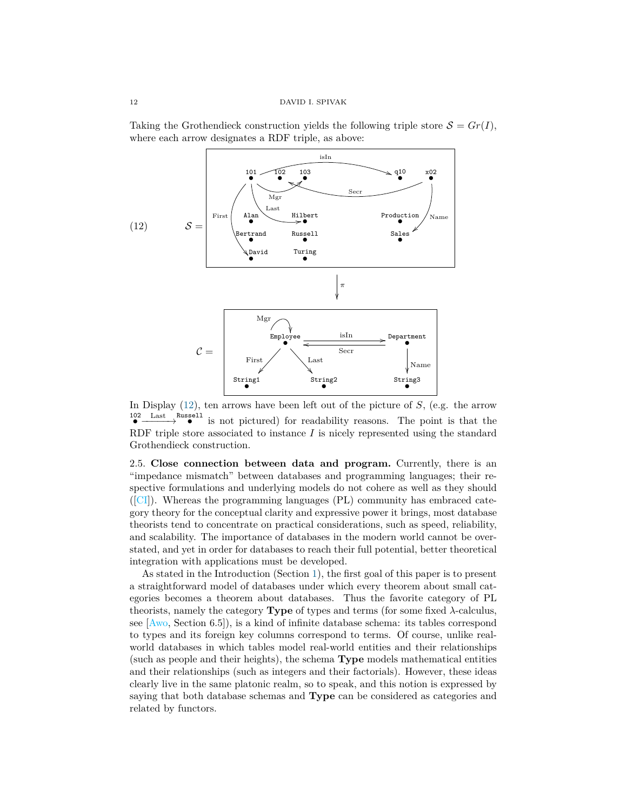Taking the Grothendieck construction yields the following triple store  $S = Gr(I)$ , where each arrow designates a RDF triple, as above:

<span id="page-11-0"></span>

In Display [\(12\)](#page-11-0), ten arrows have been left out of the picture of *S*, (e.g. the arrow <sup>102</sup> Last Russell is not pictured) for readability reasons. The point is that the RDF triple store associated to instance *I* is nicely represented using the standard Grothendieck construction.

<span id="page-11-1"></span>2.5. **Close connection between data and program.** Currently, there is an "impedance mismatch" between databases and programming languages; their respective formulations and underlying models do not cohere as well as they should ([\[CI\]](#page-27-6)). Whereas the programming languages (PL) community has embraced category theory for the conceptual clarity and expressive power it brings, most database theorists tend to concentrate on practical considerations, such as speed, reliability, and scalability. The importance of databases in the modern world cannot be overstated, and yet in order for databases to reach their full potential, better theoretical integration with applications must be developed.

As stated in the Introduction (Section [1\)](#page-0-0), the first goal of this paper is to present a straightforward model of databases under which every theorem about small categories becomes a theorem about databases. Thus the favorite category of PL theorists, namely the category **Type** of types and terms (for some fixed  $\lambda$ -calculus, see [\[Awo,](#page-27-7) Section 6.5]), is a kind of infinite database schema: its tables correspond to types and its foreign key columns correspond to terms. Of course, unlike realworld databases in which tables model real-world entities and their relationships (such as people and their heights), the schema **Type** models mathematical entities and their relationships (such as integers and their factorials). However, these ideas clearly live in the same platonic realm, so to speak, and this notion is expressed by saying that both database schemas and **Type** can be considered as categories and related by functors.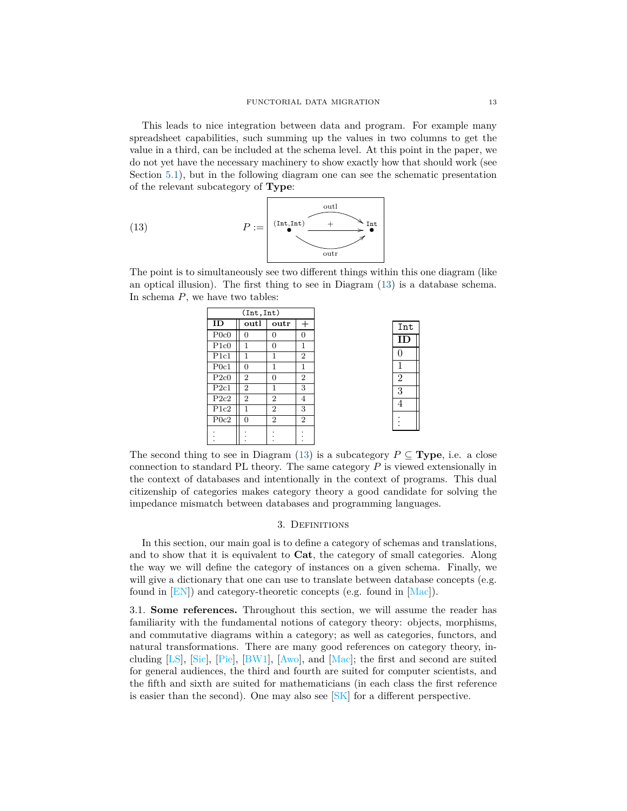This leads to nice integration between data and program. For example many spreadsheet capabilities, such summing up the values in two columns to get the value in a third, can be included at the schema level. At this point in the paper, we do not yet have the necessary machinery to show exactly how that should work (see Section [5.1\)](#page-22-2), but in the following diagram one can see the schematic presentation of the relevant subcategory of **Type**:

<span id="page-12-1"></span>(13) 
$$
P := \overbrace{\left(\begin{array}{c} \text{Int,Int} \end{array}\right)}^{\text{outl}} \overbrace{\left(\begin{array}{c} \text{Int} \\ \end{array}\right)}^{\text{outl}}
$$

The point is to simultaneously see two different things within this one diagram (like an optical illusion). The first thing to see in Diagram [\(13\)](#page-12-1) is a database schema. In schema *P*, we have two tables:

| (int, Int) |                |                |                |  |  |  |  |  |
|------------|----------------|----------------|----------------|--|--|--|--|--|
| ID         | outl           | outr<br>$^{+}$ |                |  |  |  |  |  |
| P0c0       | $\overline{0}$ | $\Omega$       | $\overline{0}$ |  |  |  |  |  |
| P1c0       | 1              | $\Omega$       | 1              |  |  |  |  |  |
| Plc1       | $\mathbf{1}$   | 1              | $\overline{2}$ |  |  |  |  |  |
| P0c1       | $\overline{0}$ | 1              | 1              |  |  |  |  |  |
| P2c0       | $\overline{2}$ | $\Omega$       | $\overline{2}$ |  |  |  |  |  |
| P2c1       | $\overline{2}$ | 1              | 3              |  |  |  |  |  |
| P2c2       | $\overline{2}$ | $\overline{2}$ | $\overline{4}$ |  |  |  |  |  |
| P1c2       | $\mathbf{1}$   | $\overline{2}$ | 3              |  |  |  |  |  |
| P0c2       | $\overline{0}$ | $\overline{2}$ | $\overline{2}$ |  |  |  |  |  |
|            |                |                |                |  |  |  |  |  |
|            |                |                |                |  |  |  |  |  |

| Int            |  |
|----------------|--|
| ΤD             |  |
|                |  |
| 1              |  |
| $\overline{2}$ |  |
| $\overline{3}$ |  |
| 4              |  |
|                |  |

The second thing to see in Diagram [\(13\)](#page-12-1) is a subcategory  $P \subseteq \textbf{Type}$ , i.e. a close connection to standard PL theory. The same category *P* is viewed extensionally in the context of databases and intentionally in the context of programs. This dual citizenship of categories makes category theory a good candidate for solving the impedance mismatch between databases and programming languages.

# 3. Definitions

<span id="page-12-0"></span>In this section, our main goal is to define a category of schemas and translations, and to show that it is equivalent to **Cat**, the category of small categories. Along the way we will define the category of instances on a given schema. Finally, we will give a dictionary that one can use to translate between database concepts (e.g. found in [\[EN\]](#page-28-12)) and category-theoretic concepts (e.g. found in [\[Mac\]](#page-28-13)).

<span id="page-12-2"></span>3.1. **Some references.** Throughout this section, we will assume the reader has familiarity with the fundamental notions of category theory: objects, morphisms, and commutative diagrams within a category; as well as categories, functors, and natural transformations. There are many good references on category theory, including [\[LS\]](#page-28-14), [\[Sic\]](#page-29-10), [\[Pie\]](#page-29-4), [\[BW1\]](#page-27-8), [\[Awo\]](#page-27-7), and [\[Mac\]](#page-28-13); the first and second are suited for general audiences, the third and fourth are suited for computer scientists, and the fifth and sixth are suited for mathematicians (in each class the first reference is easier than the second). One may also see  $|SK|$  for a different perspective.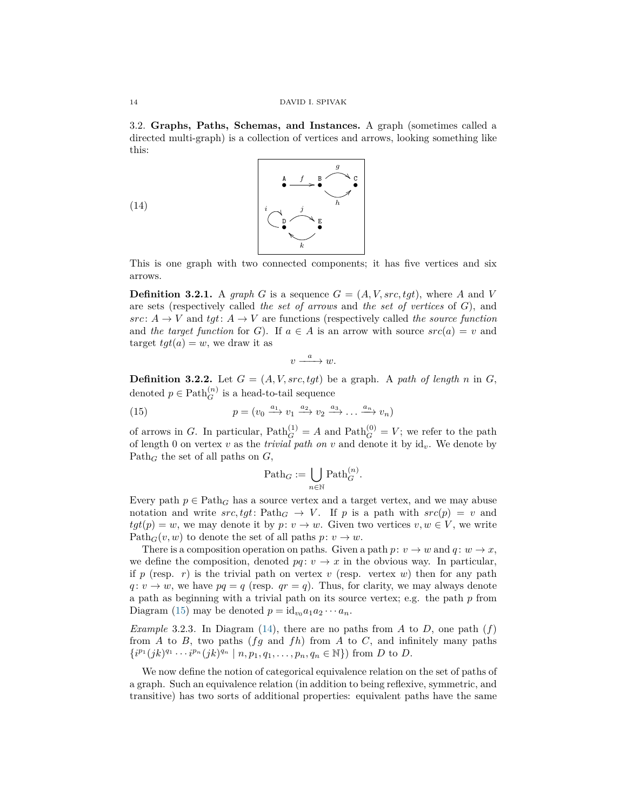3.2. **Graphs, Paths, Schemas, and Instances.** A graph (sometimes called a directed multi-graph) is a collection of vertices and arrows, looking something like this:

<span id="page-13-2"></span>(14)



This is one graph with two connected components; it has five vertices and six arrows.

<span id="page-13-0"></span>**Definition 3.2.1.** A *graph G* is a sequence  $G = (A, V, src, tot)$ , where *A* and *V* are sets (respectively called *the set of arrows* and *the set of vertices* of *G*), and  $src: A \rightarrow V$  and  $tgt: A \rightarrow V$  are functions (respectively called *the source function* and *the target function* for *G*). If  $a \in A$  is an arrow with source  $src(a) = v$  and target  $tgt(a) = w$ , we draw it as

$$
v \xrightarrow{a} w.
$$

**Definition 3.2.2.** Let  $G = (A, V, src, tgt)$  be a graph. A *path of length n* in *G*, denoted  $p \in \text{Path}_{G}^{(n)}$  is a head-to-tail sequence

<span id="page-13-1"></span>(15) 
$$
p = (v_0 \xrightarrow{a_1} v_1 \xrightarrow{a_2} v_2 \xrightarrow{a_3} \dots \xrightarrow{a_n} v_n)
$$

*i*

of arrows in *G*. In particular,  $\text{Path}_{G}^{(1)} = A$  and  $\text{Path}_{G}^{(0)} = V$ ; we refer to the path of length 0 on vertex  $v$  as the *trivial path on*  $v$  and denote it by  $id_v$ . We denote by Path*<sup>G</sup>* the set of all paths on *G*,

$$
\mathrm{Path}_G := \bigcup_{n \in \mathbb{N}} \mathrm{Path}_G^{(n)}.
$$

Every path  $p \in \text{Path}_G$  has a source vertex and a target vertex, and we may abuse notation and write  $src, tyt$ : Path<sub>*G*</sub>  $\rightarrow$  *V*. If *p* is a path with  $src(p) = v$  and  $tgt(p) = w$ , we may denote it by  $p: v \to w$ . Given two vertices  $v, w \in V$ , we write  $Path_G(v, w)$  to denote the set of all paths  $p: v \to w$ .

There is a composition operation on paths. Given a path  $p: v \to w$  and  $q: w \to x$ , we define the composition, denoted  $pq: v \to x$  in the obvious way. In particular, if  $p$  (resp.  $r$ ) is the trivial path on vertex  $v$  (resp. vertex  $w$ ) then for any path  $q: v \to w$ , we have  $pq = q$  (resp.  $qr = q$ ). Thus, for clarity, we may always denote a path as beginning with a trivial path on its source vertex; e.g. the path *p* from Diagram [\(15\)](#page-13-1) may be denoted  $p = id_{v_0} a_1 a_2 \cdots a_n$ .

*Example* 3.2.3*.* In Diagram [\(14\)](#page-13-2), there are no paths from *A* to *D*, one path  $(f)$ from *A* to *B*, two paths (*fg* and *fh*) from *A* to *C*, and infinitely many paths  $\{i^{p_1}(jk)^{q_1}\cdots i^{p_n}(jk)^{q_n} \mid n, p_1, q_1, \ldots, p_n, q_n \in \mathbb{N}\}\)$  from *D* to *D*.

We now define the notion of categorical equivalence relation on the set of paths of a graph. Such an equivalence relation (in addition to being reflexive, symmetric, and transitive) has two sorts of additional properties: equivalent paths have the same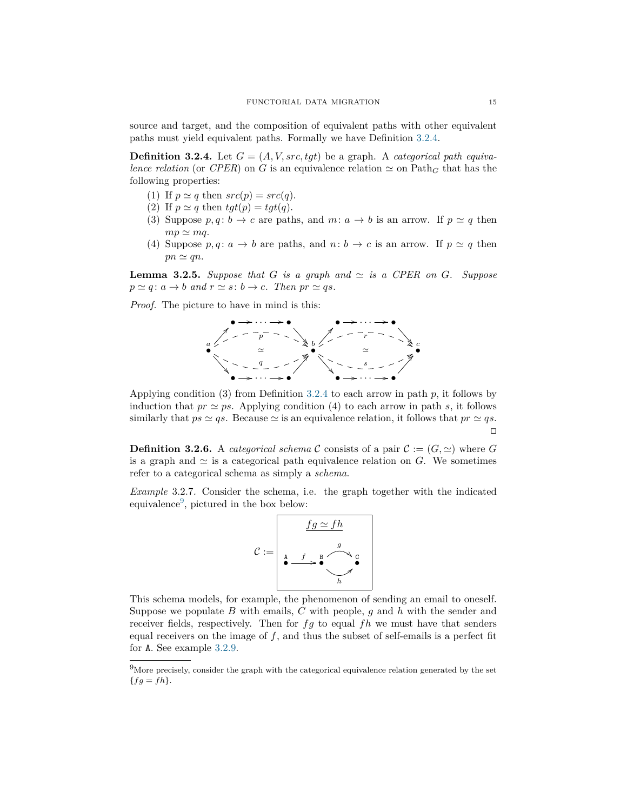source and target, and the composition of equivalent paths with other equivalent paths must yield equivalent paths. Formally we have Definition [3.2.4.](#page-14-1)

<span id="page-14-1"></span>**Definition 3.2.4.** Let  $G = (A, V, src, tgt)$  be a graph. A *categorical path equivalence relation* (or *CPER*) on *G* is an equivalence relation  $\simeq$  on Path<sub>*G*</sub> that has the following properties:

- (1) If  $p \simeq q$  then  $src(p) = src(q)$ .
- (2) If  $p \simeq q$  then  $tgt(p) = tgt(q)$ .
- (3) Suppose  $p, q: b \to c$  are paths, and  $m: a \to b$  is an arrow. If  $p \simeq q$  then  $mp \simeq mq$ .
- (4) Suppose  $p, q: a \rightarrow b$  are paths, and  $n: b \rightarrow c$  is an arrow. If  $p \simeq q$  then  $pn \simeq qn$ .

**Lemma 3.2.5.** Suppose that G is a graph and  $\simeq$  is a CPER on G. Suppose  $p \simeq q$ :  $a \to b$  and  $r \simeq s$ :  $b \to c$ *. Then*  $pr \simeq qs$ *.* 

*Proof.* The picture to have in mind is this:



Applying condition (3) from Definition [3.2.4](#page-14-1) to each arrow in path *p*, it follows by induction that  $pr \simeq ps$ . Applying condition (4) to each arrow in path *s*, it follows similarly that  $ps \simeq qs$ . Because  $\simeq$  is an equivalence relation, it follows that  $pr \simeq qs$ .  $\Box$ 

<span id="page-14-0"></span>**Definition 3.2.6.** A *categorical schema* C consists of a pair  $C := (G, \simeq)$  where G is a graph and  $\simeq$  is a categorical path equivalence relation on *G*. We sometimes refer to a categorical schema as simply a *schema*.

<span id="page-14-3"></span>*Example* 3.2.7*.* Consider the schema, i.e. the graph together with the indicated equivalence<sup>[9](#page-14-2)</sup>, pictured in the box below:



This schema models, for example, the phenomenon of sending an email to oneself. Suppose we populate *B* with emails, *C* with people, *g* and *h* with the sender and receiver fields, respectively. Then for *fg* to equal *fh* we must have that senders equal receivers on the image of *f*, and thus the subset of self-emails is a perfect fit for A. See example [3.2.9.](#page-15-1)

<span id="page-14-2"></span> $9$ More precisely, consider the graph with the categorical equivalence relation generated by the set  ${fg = fh}.$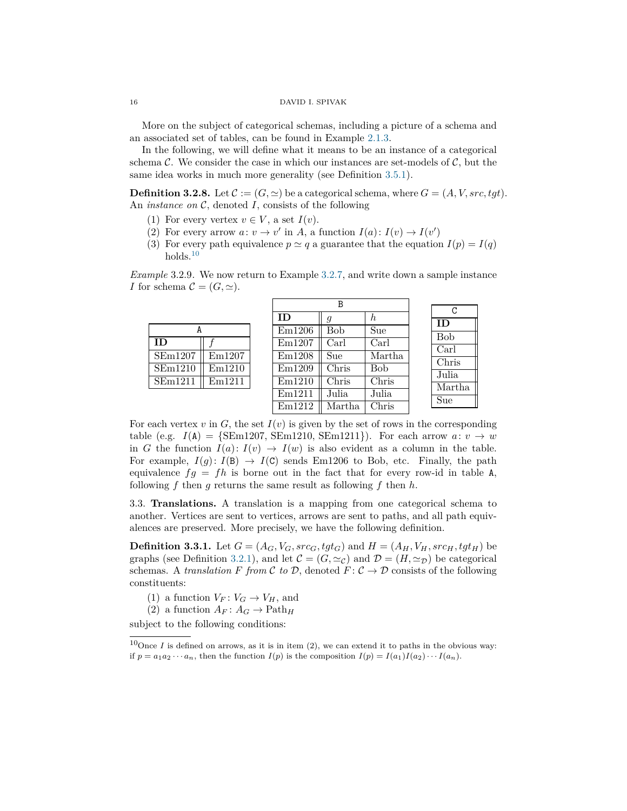More on the subject of categorical schemas, including a picture of a schema and an associated set of tables, can be found in Example [2.1.3.](#page-5-2)

In the following, we will define what it means to be an instance of a categorical schema  $\mathcal{C}$ . We consider the case in which our instances are set-models of  $\mathcal{C}$ , but the same idea works in much more generality (see Definition [3.5.1\)](#page-18-0).

<span id="page-15-3"></span>**Definition 3.2.8.** Let  $\mathcal{C} := (G, \simeq)$  be a categorical schema, where  $G = (A, V, src, tgt)$ . An *instance on* C, denoted *I*, consists of the following

- (1) For every vertex  $v \in V$ , a set  $I(v)$ .
- (2) For every arrow  $a: v \to v'$  in A, a function  $I(a): I(v) \to I(v')$
- (3) For every path equivalence  $p \simeq q$  a guarantee that the equation  $I(p) = I(q)$ holds. $10$

<span id="page-15-1"></span>*Example* 3.2.9*.* We now return to Example [3.2.7,](#page-14-3) and write down a sample instance *I* for schema  $\mathcal{C} = (G, \simeq).$ 

|                              |        |        | В          |        |            |  |
|------------------------------|--------|--------|------------|--------|------------|--|
|                              |        |        |            |        | C          |  |
|                              |        | ID     | g          | h.     | ID         |  |
| A                            |        | Em1206 | <b>Bob</b> | Sue    |            |  |
| ID                           |        | Em1207 | Carl       | Carl   | <b>Bob</b> |  |
| $\overline{\text{SE}}$ m1207 | Em1207 | Em1208 | Sue        | Martha | Carl       |  |
|                              |        |        |            |        | Chris      |  |
| SEm1210                      | Em1210 | Em1209 | Chris      | Bob    | Julia      |  |
| SEm1211                      | Em1211 | Em1210 | Chris      | Chris  | Martha     |  |
|                              |        | Em1211 | Julia      | Julia  |            |  |
|                              |        | Em1212 | Martha     | Chris  | Sue        |  |
|                              |        |        |            |        |            |  |

For each vertex *v* in *G*, the set  $I(v)$  is given by the set of rows in the corresponding table (e.g.  $I(A) = {SEm1207, SEm1210, SEm1211}.$  For each arrow  $a: v \rightarrow w$ in *G* the function  $I(a): I(v) \to I(w)$  is also evident as a column in the table. For example,  $I(g): I(B) \to I(C)$  sends Em1206 to Bob, etc. Finally, the path equivalence  $fg = fh$  is borne out in the fact that for every row-id in table A, following *f* then *g* returns the same result as following *f* then *h*.

3.3. **Translations.** A translation is a mapping from one categorical schema to another. Vertices are sent to vertices, arrows are sent to paths, and all path equivalences are preserved. More precisely, we have the following definition.

<span id="page-15-0"></span>**Definition 3.3.1.** Let  $G = (A_G, V_G, src_G, tgt_G)$  and  $H = (A_H, V_H, src_H, tgt_H)$  be graphs (see Definition [3.2.1\)](#page-13-0), and let  $\mathcal{C} = (G, \simeq_{\mathcal{C}})$  and  $\mathcal{D} = (H, \simeq_{\mathcal{D}})$  be categorical schemas. A *translation F from* C *to* D, denoted  $F: \mathcal{C} \to \mathcal{D}$  consists of the following constituents:

- (1) a function  $V_F: V_G \to V_H$ , and
- (2) a function  $A_F: A_G \to \text{Path}_H$

subject to the following conditions:

<span id="page-15-2"></span> $10$ Once *I* is defined on arrows, as it is in item (2), we can extend it to paths in the obvious way: if  $p = a_1 a_2 \cdots a_n$ , then the function  $I(p)$  is the composition  $I(p) = I(a_1)I(a_2) \cdots I(a_n)$ .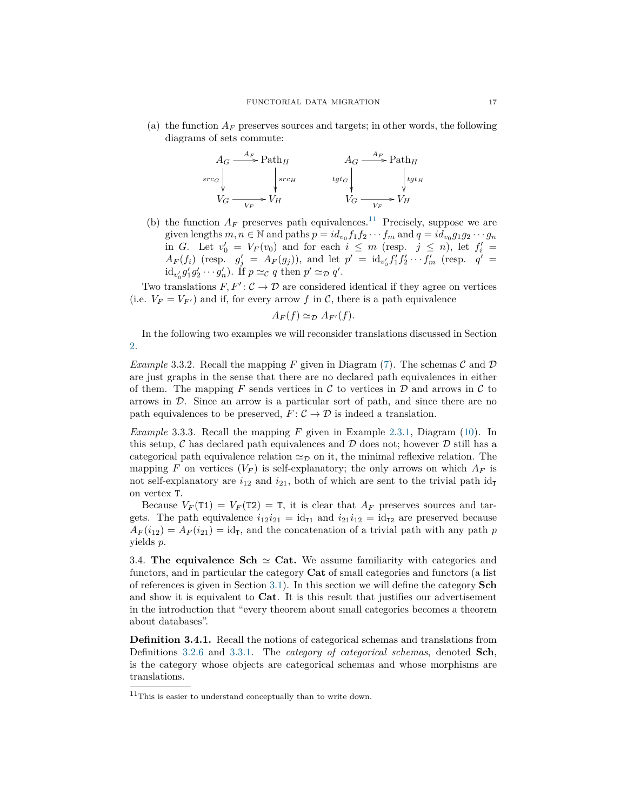(a) the function  $A_F$  preserves sources and targets; in other words, the following diagrams of sets commute:



(b) the function  $A_F$  preserves path equivalences.<sup>[11](#page-16-1)</sup> Precisely, suppose we are given lengths  $m, n \in \mathbb{N}$  and paths  $p = id_{v_0} f_1 f_2 \cdots f_m$  and  $q = id_{v_0} g_1 g_2 \cdots g_m$ in *G*. Let  $v'_0 = V_F(v_0)$  and for each  $i \leq m$  (resp.  $j \leq n$ ), let  $f'_i =$  $A_F(f_i)$  (resp.  $g'_j = A_F(g_j)$ ), and let  $p' = id_{v'_0} f'_1 f'_2 \cdots f'_m$  (resp.  $q' =$  $id_{v'_0} g'_1 g'_2 \cdots g'_n$ ). If  $p \simeq_{\mathcal{C}} q$  then  $p' \simeq_{\mathcal{D}} q'$ .

Two translations  $F, F' : C \to \mathcal{D}$  are considered identical if they agree on vertices (i.e.  $V_F = V_{F'}$ ) and if, for every arrow f in C, there is a path equivalence

$$
A_F(f) \simeq_{\mathcal{D}} A_{F'}(f).
$$

In the following two examples we will reconsider translations discussed in Section [2.](#page-4-0)

*Example* 3.3.2. Recall the mapping *F* given in Diagram [\(7\)](#page-6-1). The schemas  $\mathcal{C}$  and  $\mathcal{D}$ are just graphs in the sense that there are no declared path equivalences in either of them. The mapping  $F$  sends vertices in  $\mathcal C$  to vertices in  $\mathcal D$  and arrows in  $\mathcal C$  to arrows in D. Since an arrow is a particular sort of path, and since there are no path equivalences to be preserved,  $F: \mathcal{C} \to \mathcal{D}$  is indeed a translation.

<span id="page-16-0"></span>*Example* 3.3.3*.* Recall the mapping *F* given in Example [2.3.1,](#page-9-0) Diagram [\(10\)](#page-9-1). In this setup,  $\mathcal C$  has declared path equivalences and  $\mathcal D$  does not; however  $\mathcal D$  still has a categorical path equivalence relation  $\simeq_{\mathcal{D}}$  on it, the minimal reflexive relation. The mapping *F* on vertices  $(V_F)$  is self-explanatory; the only arrows on which  $A_F$  is not self-explanatory are  $i_{12}$  and  $i_{21}$ , both of which are sent to the trivial path  $id_{\text{T}}$ on vertex T.

Because  $V_F(T1) = V_F(T2) = T$ , it is clear that  $A_F$  preserves sources and targets. The path equivalence  $i_{12}i_{21} = id_{\text{t1}}$  and  $i_{21}i_{12} = id_{\text{t2}}$  are preserved because  $A_F(i_{12}) = A_F(i_{21}) = id_T$ , and the concatenation of a trivial path with any path *p* yields *p*.

3.4. **The equivalence Sch**  $\simeq$  **Cat.** We assume familiarity with categories and functors, and in particular the category **Cat** of small categories and functors (a list of references is given in Section [3.1\)](#page-12-2). In this section we will define the category **Sch** and show it is equivalent to **Cat**. It is this result that justifies our advertisement in the introduction that "every theorem about small categories becomes a theorem about databases".

**Definition 3.4.1.** Recall the notions of categorical schemas and translations from Definitions [3.2.6](#page-14-0) and [3.3.1.](#page-15-0) The *category of categorical schemas*, denoted **Sch**, is the category whose objects are categorical schemas and whose morphisms are translations.

<span id="page-16-1"></span> $11$ This is easier to understand conceptually than to write down.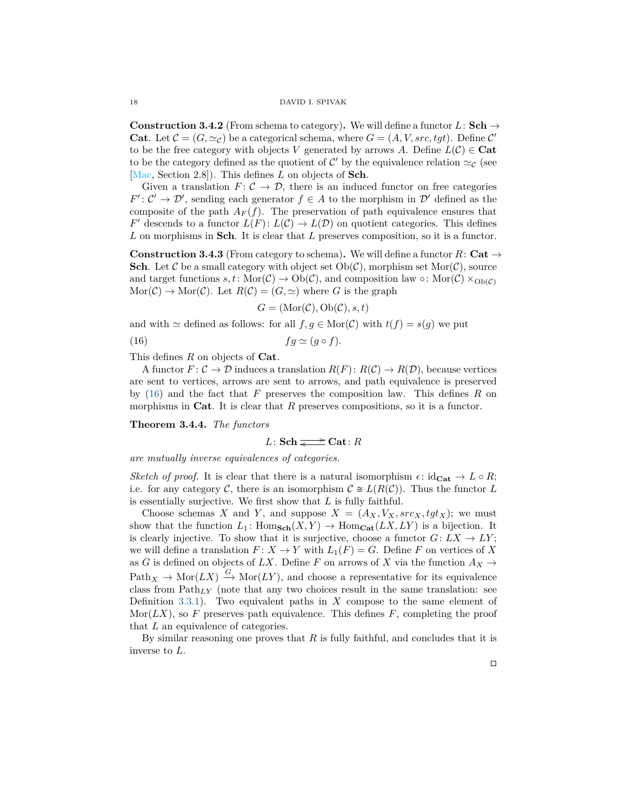**Construction 3.4.2** (From schema to category). We will define a functor  $L:$  **Sch**  $\rightarrow$ **Cat**. Let  $\mathcal{C} = (G, \simeq_{\mathcal{C}})$  be a categorical schema, where  $G = (A, V, src, tyt)$ . Define  $\mathcal{C}'$ to be the free category with objects *V* generated by arrows *A*. Define  $L(C) \in \mathbf{Cat}$ to be the category defined as the quotient of  $\mathcal{C}'$  by the equivalence relation  $\simeq_{\mathcal{C}}$  (see [\[Mac,](#page-28-13) Section 2.8]). This defines *L* on objects of **Sch**.

Given a translation  $F: \mathcal{C} \to \mathcal{D}$ , there is an induced functor on free categories  $F' : C' \to \mathcal{D}'$ , sending each generator  $f \in A$  to the morphism in  $\mathcal{D}'$  defined as the composite of the path  $A_F(f)$ . The preservation of path equivalence ensures that *F*<sup> $\prime$ </sup> descends to a functor  $L(F)$ :  $L(\mathcal{C}) \to L(\mathcal{D})$  on quotient categories. This defines *L* on morphisms in **Sch**. It is clear that *L* preserves composition, so it is a functor.

**Construction 3.4.3** (From category to schema). We will define a functor  $R:$  Cat  $\rightarrow$ **Sch**. Let C be a small category with object set  $Ob(\mathcal{C})$ , morphism set Mor $(\mathcal{C})$ , source and target functions  $s, t \colon \text{Mor}(\mathcal{C}) \to \text{Ob}(\mathcal{C})$ , and composition law  $\circ \colon \text{Mor}(\mathcal{C}) \times_{\text{Ob}(\mathcal{C})}$  $\text{Mor}(\mathcal{C}) \to \text{Mor}(\mathcal{C})$ . Let  $R(\mathcal{C}) = (G, \simeq)$  where *G* is the graph

$$
G = (\text{Mor}(\mathcal{C}), \text{Ob}(\mathcal{C}), s, t)
$$

and with  $\simeq$  defined as follows: for all  $f, g \in \text{Mor}(\mathcal{C})$  with  $t(f) = s(g)$  we put

<span id="page-17-0"></span>(16)  $fg \simeq (g \circ f).$ 

This defines *R* on objects of **Cat**.

A functor  $F: \mathcal{C} \to \mathcal{D}$  induces a translation  $R(F): R(\mathcal{C}) \to R(\mathcal{D})$ , because vertices are sent to vertices, arrows are sent to arrows, and path equivalence is preserved by [\(16\)](#page-17-0) and the fact that *F* preserves the composition law. This defines *R* on morphisms in **Cat**. It is clear that *R* preserves compositions, so it is a functor.

<span id="page-17-1"></span>**Theorem 3.4.4.** *The functors*

$$
L: \mathbf{Sch} \mathbf{S} \mathbf{ch} \mathbf{S} \mathbf{C} \mathbf{at}: R
$$

*are mutually inverse equivalences of categories.*

*Sketch of proof.* It is clear that there is a natural isomorphism  $\epsilon$ : idc<sub>at</sub>  $\rightarrow L \circ R$ ; i.e. for any category C, there is an isomorphism  $C \cong L(R(C))$ . Thus the functor L is essentially surjective. We first show that *L* is fully faithful.

Choose schemas *X* and *Y*, and suppose  $X = (A_X, V_X, src_X, tgt_X)$ ; we must show that the function  $L_1$ :  $\text{Hom}_{\text{Sch}}(X, Y) \to \text{Hom}_{\text{Cat}}(LX, LY)$  is a bijection. It is clearly injective. To show that it is surjective, choose a functor  $G: LX \to LY$ ; we will define a translation  $F: X \to Y$  with  $L_1(F) = G$ . Define F on vertices of X as *G* is defined on objects of *LX*. Define *F* on arrows of *X* via the function  $A_X \rightarrow$  $Path_X \to \text{Mor}(LX) \stackrel{G}{\to} \text{Mor}(LY)$ , and choose a representative for its equivalence class from Path*LY* (note that any two choices result in the same translation: see Definition [3.3.1\)](#page-15-0). Two equivalent paths in *X* compose to the same element of Mor( $LX$ ), so  $F$  preserves path equivalence. This defines  $F$ , completing the proof that *L* an equivalence of categories.

By similar reasoning one proves that *R* is fully faithful, and concludes that it is inverse to *L*.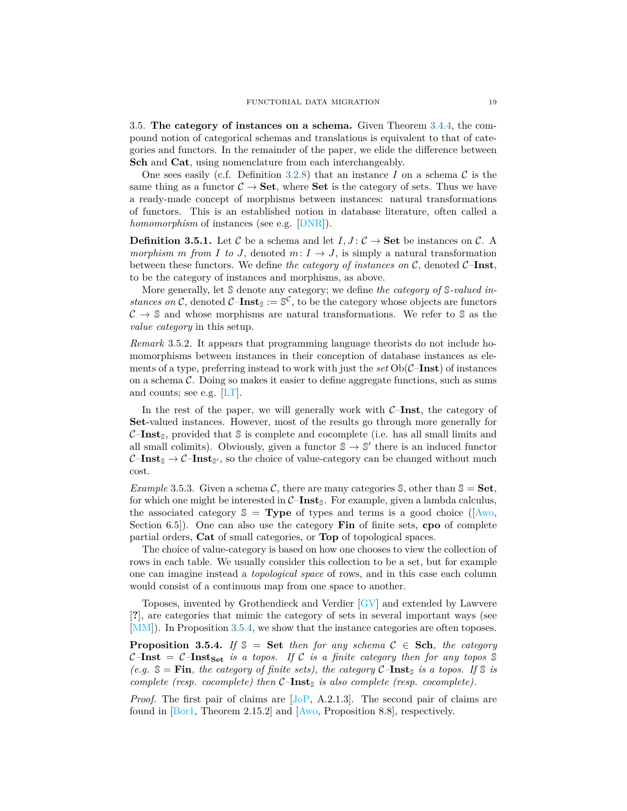3.5. **The category of instances on a schema.** Given Theorem [3.4.4,](#page-17-1) the compound notion of categorical schemas and translations is equivalent to that of categories and functors. In the remainder of the paper, we elide the difference between **Sch** and **Cat**, using nomenclature from each interchangeably.

One sees easily (c.f. Definition [3.2.8\)](#page-15-3) that an instance  $I$  on a schema  $\mathcal C$  is the same thing as a functor  $C \rightarrow$  **Set**, where **Set** is the category of sets. Thus we have a ready-made concept of morphisms between instances: natural transformations of functors. This is an established notion in database literature, often called a *homomorphism* of instances (see e.g. [\[DNR\]](#page-28-15)).

<span id="page-18-0"></span>**Definition 3.5.1.** Let C be a schema and let  $I, J: \mathcal{C} \to \mathbf{Set}$  be instances on C. A *morphism m from I to J*, denoted *m*:  $I \rightarrow J$ , is simply a natural transformation between these functors. We define *the category of instances on* C, denoted C–**Inst**, to be the category of instances and morphisms, as above.

More generally, let S denote any category; we define *the category of* S*-valued instances on* C, denoted C-**Inst**<sub>S</sub> :=  $\mathbb{S}^{\mathcal{C}}$ , to be the category whose objects are functors  $C \rightarrow \mathbb{S}$  and whose morphisms are natural transformations. We refer to  $\mathbb{S}$  as the *value category* in this setup.

*Remark* 3.5.2*.* It appears that programming language theorists do not include homomorphisms between instances in their conception of database instances as elements of a type, preferring instead to work with just the *set* Ob(C–**Inst**) of instances on a schema  $\mathcal C$ . Doing so makes it easier to define aggregate functions, such as sums and counts; see e.g. [\[LT\]](#page-28-16).

In the rest of the paper, we will generally work with C–**Inst**, the category of **Set**-valued instances. However, most of the results go through more generally for  $C\text{-*Inst*<sub>S</sub>$ , provided that  $\mathcal S$  is complete and cocomplete (i.e. has all small limits and all small colimits). Obviously, given a functor  $\mathbb{S} \to \mathbb{S}'$  there is an induced functor  $C\text{-**Inst}_{\mathcal{S}} \to C\text{-**Inst}_{\mathcal{S}'},****$  so the choice of value-category can be changed without much cost.

*Example* 3.5.3*.* Given a schema C, there are many categories S, other than  $\mathbb{S} = \mathbf{Set}$ , for which one might be interested in  $C$ –**Inst**<sub>S</sub>. For example, given a lambda calculus, the associated category  $\mathcal{S} = \textbf{Type}$  of types and terms is a good choice ( $[\text{Awo},$ Section 6.5]). One can also use the category **Fin** of finite sets, **cpo** of complete partial orders, **Cat** of small categories, or **Top** of topological spaces.

The choice of value-category is based on how one chooses to view the collection of rows in each table. We usually consider this collection to be a set, but for example one can imagine instead a *topological space* of rows, and in this case each column would consist of a continuous map from one space to another.

Toposes, invented by Grothendieck and Verdier [\[GV\]](#page-28-17) and extended by Lawvere [**?**], are categories that mimic the category of sets in several important ways (see [\[MM\]](#page-28-18)). In Proposition [3.5.4,](#page-18-1) we show that the instance categories are often toposes.

<span id="page-18-1"></span>**Proposition 3.5.4.** *If*  $\mathcal{S} =$  **Set** *then for any schema*  $\mathcal{C} \in$  **Sch***, the category*  $C$ –**Inst** =  $C$ –**Inst**<sub>Set</sub> *is a topos. If* C *is a finite category then for any topos*  $\mathbb{S}$ *(e.g.*  $\mathbb{S} = \text{Fin}$ *, the category of finite sets), the category*  $\mathcal{C}-\text{Inst}_{\mathbb{S}}$  *is a topos. If*  $\mathbb{S}$  *is complete (resp. cocomplete) then*  $C$ –**Inst**<sub>S</sub> *is also complete (resp. cocomplete).* 

*Proof.* The first pair of claims are [J<sub>oP</sub>, A.2.1.3]. The second pair of claims are found in [\[Bor1,](#page-27-9) Theorem 2.15.2] and [\[Awo,](#page-27-7) Proposition 8.8], respectively.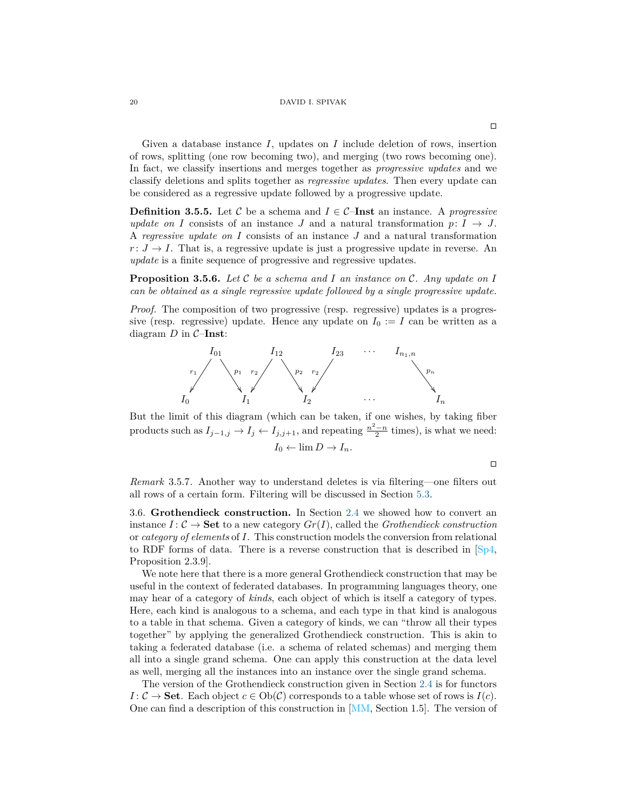Given a database instance *I*, updates on *I* include deletion of rows, insertion of rows, splitting (one row becoming two), and merging (two rows becoming one). In fact, we classify insertions and merges together as *progressive updates* and we classify deletions and splits together as *regressive updates*. Then every update can be considered as a regressive update followed by a progressive update.

**Definition 3.5.5.** Let C be a schema and  $I \in \mathcal{C}$ –**Inst** an instance. A *progressive update on I* consists of an instance *J* and a natural transformation  $p: I \rightarrow J$ . A *regressive update on I* consists of an instance *J* and a natural transformation  $r: J \to I$ . That is, a regressive update is just a progressive update in reverse. An *update* is a finite sequence of progressive and regressive updates.

**Proposition 3.5.6.** *Let* C *be a schema and I an instance on* C*. Any update on I can be obtained as a single regressive update followed by a single progressive update.*

*Proof.* The composition of two progressive (resp. regressive) updates is a progressive (resp. regressive) update. Hence any update on  $I_0 := I$  can be written as a diagram *D* in C–**Inst**:



But the limit of this diagram (which can be taken, if one wishes, by taking fiber products such as  $I_{j-1,j} \to I_j \leftarrow I_{j,j+1}$ , and repeating  $\frac{n^2-n}{2}$  times), is what we need:  $I_0 \leftarrow \lim D \rightarrow I_n$ .

 $\Box$ 

*Remark* 3.5.7*.* Another way to understand deletes is via filtering—one filters out all rows of a certain form. Filtering will be discussed in Section [5.3.](#page-26-0)

<span id="page-19-0"></span>3.6. **Grothendieck construction.** In Section [2.4](#page-10-1) we showed how to convert an instance  $I: \mathcal{C} \to \mathbf{Set}$  to a new category  $Gr(I)$ , called the *Grothendieck construction* or *category of elements* of *I*. This construction models the conversion from relational to RDF forms of data. There is a reverse construction that is described in  $\lceil Sp4, \rceil$ Proposition 2.3.9].

We note here that there is a more general Grothendieck construction that may be useful in the context of federated databases. In programming languages theory, one may hear of a category of *kinds*, each object of which is itself a category of types. Here, each kind is analogous to a schema, and each type in that kind is analogous to a table in that schema. Given a category of kinds, we can "throw all their types together" by applying the generalized Grothendieck construction. This is akin to taking a federated database (i.e. a schema of related schemas) and merging them all into a single grand schema. One can apply this construction at the data level as well, merging all the instances into an instance over the single grand schema.

The version of the Grothendieck construction given in Section [2.4](#page-10-1) is for functors *I* :  $C \rightarrow$  **Set**. Each object  $c \in Ob(C)$  corresponds to a table whose set of rows is  $I(c)$ . One can find a description of this construction in [\[MM,](#page-28-18) Section 1.5]. The version of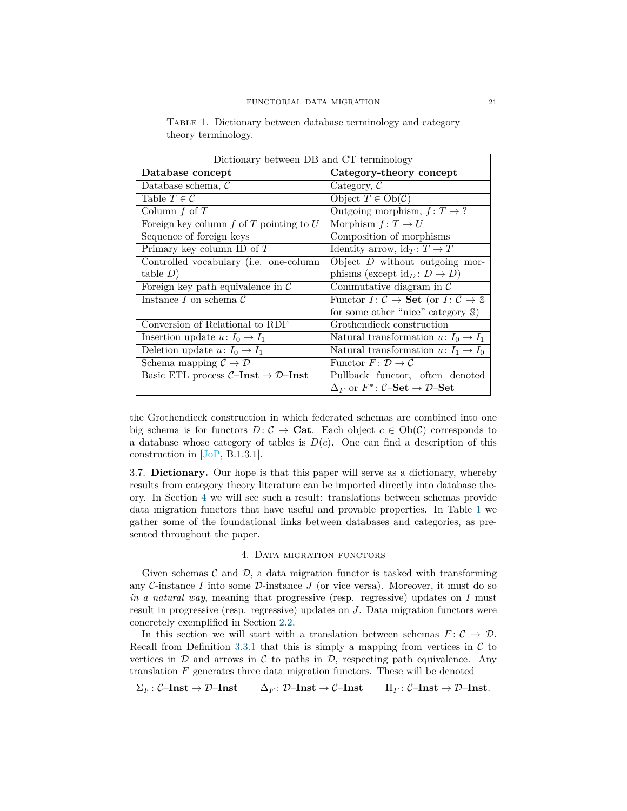| Dictionary between DB and CT terminology         |                                                                                             |  |  |  |  |
|--------------------------------------------------|---------------------------------------------------------------------------------------------|--|--|--|--|
| Database concept                                 | Category-theory concept                                                                     |  |  |  |  |
| Database schema, $\mathcal C$                    | Category, $\mathcal C$                                                                      |  |  |  |  |
| Table $T \in \mathcal{C}$                        | Object $T \in Ob(\mathcal{C})$                                                              |  |  |  |  |
| Column $f$ of $T$                                | Outgoing morphism, $f: T \to ?$                                                             |  |  |  |  |
| Foreign key column $f$ of $T$ pointing to $U$    | Morphism $f: T \to U$                                                                       |  |  |  |  |
| Sequence of foreign keys                         | Composition of morphisms                                                                    |  |  |  |  |
| Primary key column ID of $T$                     | Identity arrow, $id_T: T \to T$                                                             |  |  |  |  |
| Controlled vocabulary (i.e. one-column           | Object $D$ without outgoing mor-                                                            |  |  |  |  |
| table D)                                         | phisms (except $\mathrm{id}_D : D \to D$ )                                                  |  |  |  |  |
| Foreign key path equivalence in $\mathcal C$     | Commutative diagram in $\mathcal C$                                                         |  |  |  |  |
| Instance I on schema $\mathcal C$                | Functor $I: \mathcal{C} \to \mathbf{Set}$ (or $I: \mathcal{C} \to \mathbb{S}$               |  |  |  |  |
|                                                  | for some other "nice" category $\mathcal{S}$ )                                              |  |  |  |  |
| Conversion of Relational to RDF                  | Grothendieck construction                                                                   |  |  |  |  |
| Insertion update $u: I_0 \to I_1$                | Natural transformation $u: I_0 \to I_1$                                                     |  |  |  |  |
| Deletion update $u: I_0 \to I_1$                 | Natural transformation $u: I_1 \to I_0$                                                     |  |  |  |  |
| Schema mapping $\mathcal{C} \to \mathcal{D}$     | Functor $F: \mathcal{D} \to \mathcal{C}$                                                    |  |  |  |  |
| Basic ETL process $C$ -Inst $\rightarrow$ D-Inst | Pullback functor, often denoted                                                             |  |  |  |  |
|                                                  | $\Delta_F$ or $F^*$ : $\mathcal{C}\text{-}\mathbf{Set} \to \mathcal{D}\text{-}\mathbf{Set}$ |  |  |  |  |

<span id="page-20-2"></span>Table 1. Dictionary between database terminology and category theory terminology.

the Grothendieck construction in which federated schemas are combined into one big schema is for functors  $D: \mathcal{C} \to \mathbf{Cat}$ . Each object  $c \in Ob(\mathcal{C})$  corresponds to a database whose category of tables is  $D(c)$ . One can find a description of this construction in [\[JoP,](#page-28-19) B.1.3.1].

<span id="page-20-1"></span>3.7. **Dictionary.** Our hope is that this paper will serve as a dictionary, whereby results from category theory literature can be imported directly into database theory. In Section [4](#page-20-0) we will see such a result: translations between schemas provide data migration functors that have useful and provable properties. In Table [1](#page-20-2) we gather some of the foundational links between databases and categories, as presented throughout the paper.

## 4. Data migration functors

<span id="page-20-0"></span>Given schemas  $\mathcal C$  and  $\mathcal D$ , a data migration functor is tasked with transforming any  $C$ -instance  $I$  into some  $D$ -instance  $J$  (or vice versa). Moreover, it must do so *in a natural way*, meaning that progressive (resp. regressive) updates on *I* must result in progressive (resp. regressive) updates on *J*. Data migration functors were concretely exemplified in Section [2.2.](#page-6-0)

In this section we will start with a translation between schemas  $F: \mathcal{C} \to \mathcal{D}$ . Recall from Definition [3.3.1](#page-15-0) that this is simply a mapping from vertices in  $\mathcal C$  to vertices in  $D$  and arrows in  $C$  to paths in  $D$ , respecting path equivalence. Any translation  $F$  generates three data migration functors. These will be denoted

 $\Sigma_F$ : C–Inst  $\rightarrow$  D–Inst  $\Delta_F$ : D–Inst  $\rightarrow$  C–Inst  $\Pi_F$ : C–Inst  $\rightarrow$  D–Inst.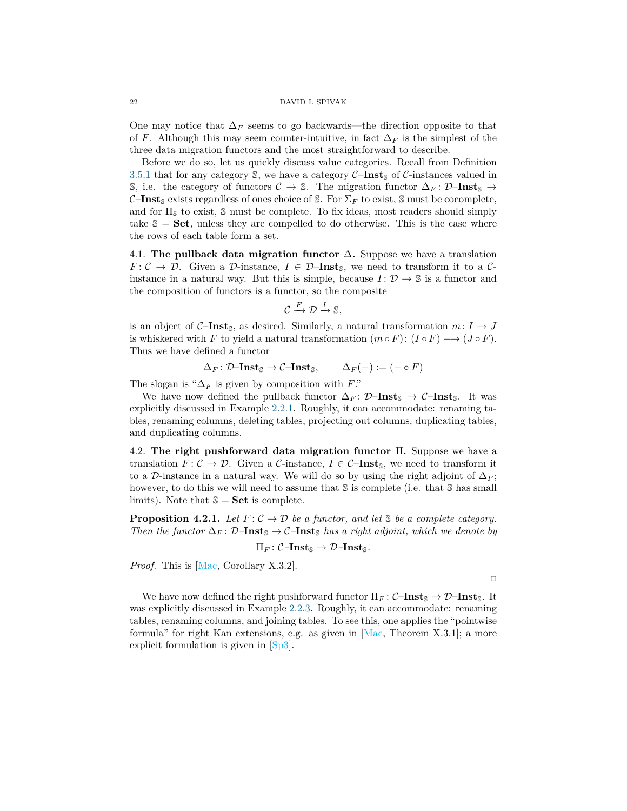One may notice that  $\Delta_F$  seems to go backwards—the direction opposite to that of *F*. Although this may seem counter-intuitive, in fact  $\Delta_F$  is the simplest of the three data migration functors and the most straightforward to describe.

Before we do so, let us quickly discuss value categories. Recall from Definition [3.5.1](#page-18-0) that for any category  $\mathcal{S}$ , we have a category  $\mathcal{C}-\mathbf{Inst}_{\mathcal{S}}$  of  $\mathcal{C}-\mathbf{instance}$  valued in S, i.e. the category of functors  $C \to \mathbb{S}$ . The migration functor  $\Delta_F : \mathcal{D}\text{-}\mathbf{Inst}_{\mathbb{S}} \to$  $C$ –**Inst**<sub>S</sub> exists regardless of ones choice of S. For  $\Sigma_F$  to exist, S must be cocomplete, and for  $\Pi_{\mathcal{S}}$  to exist,  $\mathcal{S}$  must be complete. To fix ideas, most readers should simply take  $\mathcal{S} = \mathbf{Set}$ , unless they are compelled to do otherwise. This is the case where the rows of each table form a set.

<span id="page-21-0"></span>4.1. **The pullback data migration functor** ∆**.** Suppose we have a translation  $F: \mathcal{C} \to \mathcal{D}$ . Given a D-instance,  $I \in \mathcal{D}-\mathbf{Inst}_\mathbb{S}$ , we need to transform it to a  $\mathcal{C}$ instance in a natural way. But this is simple, because  $I: \mathcal{D} \to \mathbb{S}$  is a functor and the composition of functors is a functor, so the composite

$$
\mathcal{C} \xrightarrow{F} \mathcal{D} \xrightarrow{I} \mathbb{S},
$$

is an object of  $C$ –**Inst**<sub>S</sub>, as desired. Similarly, a natural transformation  $m: I \rightarrow J$ is whiskered with *F* to yield a natural transformation  $(m \circ F) : (I \circ F) \longrightarrow (J \circ F)$ . Thus we have defined a functor

$$
\Delta_F \colon \mathcal{D}\text{-}\mathbf{Inst}_{\mathbb{S}} \to \mathcal{C}\text{-}\mathbf{Inst}_{\mathbb{S}}, \qquad \Delta_F(-) := (- \circ F)
$$

The slogan is " $\Delta_F$  is given by composition with *F*."

We have now defined the pullback functor  $\Delta_F : \mathcal{D}-\mathbf{Inst}_{\mathcal{S}} \to \mathcal{C}-\mathbf{Inst}_{\mathcal{S}}$ . It was explicitly discussed in Example [2.2.1.](#page-7-0) Roughly, it can accommodate: renaming tables, renaming columns, deleting tables, projecting out columns, duplicating tables, and duplicating columns.

<span id="page-21-1"></span>4.2. **The right pushforward data migration functor** Π**.** Suppose we have a translation  $F: \mathcal{C} \to \mathcal{D}$ . Given a  $\mathcal{C}\text{-instance}$ ,  $I \in \mathcal{C}\text{-**Inst**<sub>S</sub>$ , we need to transform it to a D-instance in a natural way. We will do so by using the right adjoint of  $\Delta_F$ ; however, to do this we will need to assume that S is complete (i.e. that S has small limits). Note that  $\mathbb{S} = \mathbf{Set}$  is complete.

**Proposition 4.2.1.** Let  $F: \mathcal{C} \to \mathcal{D}$  be a functor, and let  $\mathcal{S}$  be a complete category. *Then the functor*  $\Delta_F$ :  $\mathcal{D}-\mathbf{Inst}_{\mathbb{S}} \rightarrow \mathcal{C}-\mathbf{Inst}_{\mathbb{S}}$  *has a right adjoint, which we denote by* 

$$
\Pi_F\colon {\mathcal C}\text{-{\bf Inst}}_{\mathbb S}\to{\mathcal D}\text{-{\bf Inst}}_{\mathbb S}.
$$

*Proof.* This is [\[Mac,](#page-28-13) Corollary X.3.2].

 $\Box$ 

We have now defined the right pushforward functor  $\Pi_F$ :  $C$ **-Inst**<sub>S</sub>  $\rightarrow$   $D$ **-Inst**<sub>S</sub>. It was explicitly discussed in Example [2.2.3.](#page-8-0) Roughly, it can accommodate: renaming tables, renaming columns, and joining tables. To see this, one applies the "pointwise formula" for right Kan extensions, e.g. as given in [\[Mac,](#page-28-13) Theorem X.3.1]; a more explicit formulation is given in [\[Sp3\]](#page-29-12).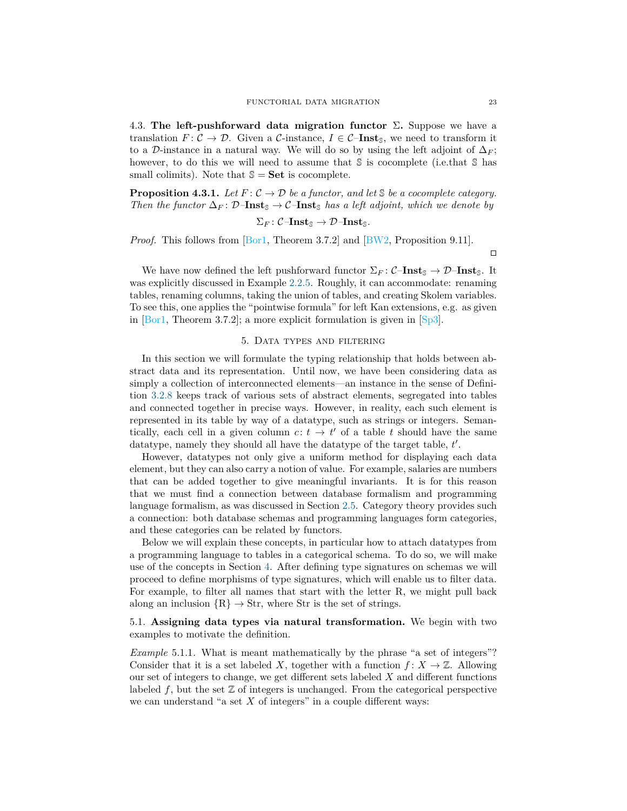<span id="page-22-1"></span>4.3. **The left-pushforward data migration functor**  $\Sigma$ . Suppose we have a translation  $F: \mathcal{C} \to \mathcal{D}$ . Given a  $\mathcal{C}\text{-instance}$ ,  $I \in \mathcal{C}\text{-}\mathbf{Inst}_{\mathbb{S}}$ , we need to transform it to a D-instance in a natural way. We will do so by using the left adjoint of  $\Delta_F$ ; however, to do this we will need to assume that S is cocomplete (i.e.that S has small colimits). Note that  $\mathcal{S} = \mathbf{Set}$  is cocomplete.

**Proposition 4.3.1.** Let  $F: \mathcal{C} \to \mathcal{D}$  be a functor, and let  $\mathcal{S}$  be a cocomplete category. *Then the functor*  $\Delta_F$ :  $\mathcal{D}-\mathbf{Inst}_{\mathbb{S}} \to \mathcal{C}-\mathbf{Inst}_{\mathbb{S}}$  *has a left adjoint, which we denote by* 

$$
\Sigma_F\colon \mathcal{C}\text{-}\mathbf{Inst}_{\mathbb{S}} \to \mathcal{D}\text{-}\mathbf{Inst}_{\mathbb{S}}.
$$

*Proof.* This follows from [\[Bor1,](#page-27-9) Theorem 3.7.2] and [\[BW2,](#page-27-10) Proposition 9.11].

 $\Box$ 

We have now defined the left pushforward functor  $\Sigma_F$ : C–**Inst**<sub>S</sub>  $\rightarrow$  D–**Inst**<sub>S</sub>. It was explicitly discussed in Example [2.2.5.](#page-8-1) Roughly, it can accommodate: renaming tables, renaming columns, taking the union of tables, and creating Skolem variables. To see this, one applies the "pointwise formula" for left Kan extensions, e.g. as given in  $[Bar1, Theorem 3.7.2]$ ; a more explicit formulation is given in  $[Sp3]$ .

## 5. Data types and filtering

<span id="page-22-0"></span>In this section we will formulate the typing relationship that holds between abstract data and its representation. Until now, we have been considering data as simply a collection of interconnected elements—an instance in the sense of Definition [3.2.8](#page-15-3) keeps track of various sets of abstract elements, segregated into tables and connected together in precise ways. However, in reality, each such element is represented in its table by way of a datatype, such as strings or integers. Semantically, each cell in a given column  $c: t \to t'$  of a table *t* should have the same datatype, namely they should all have the datatype of the target table, *t'*.

However, datatypes not only give a uniform method for displaying each data element, but they can also carry a notion of value. For example, salaries are numbers that can be added together to give meaningful invariants. It is for this reason that we must find a connection between database formalism and programming language formalism, as was discussed in Section [2.5.](#page-11-1) Category theory provides such a connection: both database schemas and programming languages form categories, and these categories can be related by functors.

Below we will explain these concepts, in particular how to attach datatypes from a programming language to tables in a categorical schema. To do so, we will make use of the concepts in Section [4.](#page-20-0) After defining type signatures on schemas we will proceed to define morphisms of type signatures, which will enable us to filter data. For example, to filter all names that start with the letter R, we might pull back along an inclusion  $\{R\} \rightarrow Str$ , where Str is the set of strings.

<span id="page-22-2"></span>5.1. **Assigning data types via natural transformation.** We begin with two examples to motivate the definition.

<span id="page-22-3"></span>*Example* 5.1.1. What is meant mathematically by the phrase "a set of integers"? Consider that it is a set labeled *X*, together with a function  $f: X \to \mathbb{Z}$ . Allowing our set of integers to change, we get different sets labeled *X* and different functions labeled  $f$ , but the set  $\mathbb Z$  of integers is unchanged. From the categorical perspective we can understand "a set X of integers" in a couple different ways: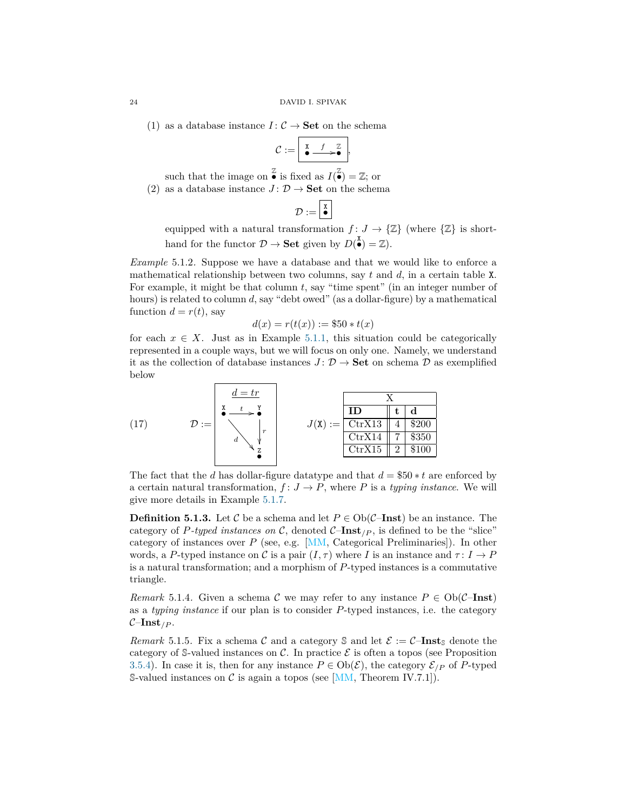(1) as a database instance  $I: \mathcal{C} \to \mathbf{Set}$  on the schema

$$
\mathcal{C} := \boxed{\stackrel{\text{x}}{\bullet} \stackrel{f}{\longrightarrow} \stackrel{\mathbb{Z}}{\bullet}},
$$

such that the image on  $\frac{z}{\bullet}$  is fixed as  $I(\frac{z}{\bullet}) = \mathbb{Z}$ ; or (2) as a database instance  $J: \mathcal{D} \to \mathbf{Set}$  on the schema

$$
\mathcal{D} := \boxed{\overset{\mathtt{x}}{\bullet}}
$$

equipped with a natural transformation  $f: J \to \{\mathbb{Z}\}\$  (where  $\{\mathbb{Z}\}\$  is shorthand for the functor  $\mathcal{D} \to \mathbf{Set}$  given by  $D(\overset{\mathbf{X}}{\bullet}) = \mathbb{Z}$ .

<span id="page-23-0"></span>*Example* 5.1.2. Suppose we have a database and that we would like to enforce a mathematical relationship between two columns, say *t* and *d*, in a certain table X. For example, it might be that column *t*, say "time spent" (in an integer number of hours) is related to column *d*, say "debt owed" (as a dollar-figure) by a mathematical function  $d = r(t)$ , say

$$
d(x) = r(t(x)) := $50 * t(x)
$$

for each  $x \in X$ . Just as in Example [5.1.1,](#page-22-3) this situation could be categorically represented in a couple ways, but we will focus on only one. Namely, we understand it as the collection of database instances  $J: \mathcal{D} \to \mathbf{Set}$  on schema  $\mathcal{D}$  as exemplified below

<span id="page-23-1"></span>

The fact that the *d* has dollar-figure datatype and that *d* = \$50 ∗ *t* are enforced by a certain natural transformation,  $f: J \to P$ , where P is a *typing instance*. We will give more details in Example [5.1.7.](#page-24-0)

**Definition 5.1.3.** Let C be a schema and let  $P \in Ob(\mathcal{C}-\mathbf{Inst})$  be an instance. The category of P-typed instances on C, denoted  $C$ -**Inst**<sub>/P</sub>, is defined to be the "slice" category of instances over *P* (see, e.g. [\[MM,](#page-28-18) Categorical Preliminaries]). In other words, a P-typed instance on C is a pair  $(I, \tau)$  where I is an instance and  $\tau : I \to P$ is a natural transformation; and a morphism of *P*-typed instances is a commutative triangle.

*Remark* 5.1.4. Given a schema C we may refer to any instance  $P \in Ob(\mathcal{C}-**Inst**)$ as a *typing instance* if our plan is to consider *P*-typed instances, i.e. the category  $C$ –**Inst**<sub>/*P*</sub>.

*Remark* 5.1.5. Fix a schema C and a category S and let  $\mathcal{E} := \mathcal{C}-\mathbf{Inst}_{\mathbb{S}}$  denote the category of S-valued instances on  $\mathcal{C}$ . In practice  $\mathcal E$  is often a topos (see Proposition [3.5.4\)](#page-18-1). In case it is, then for any instance  $P \in Ob(\mathcal{E})$ , the category  $\mathcal{E}_{/P}$  of *P*-typed S-valued instances on  $\mathcal C$  is again a topos (see [\[MM,](#page-28-18) Theorem IV.7.1]).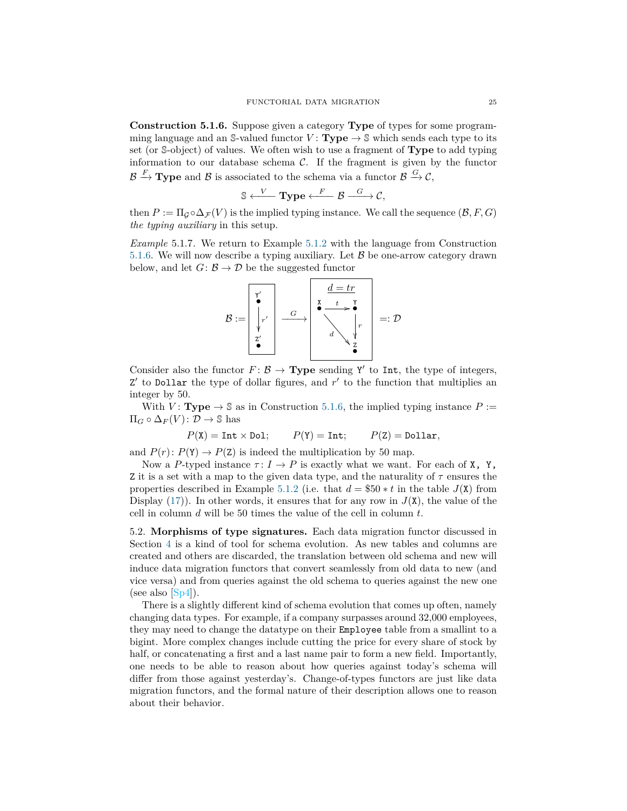<span id="page-24-1"></span>**Construction 5.1.6.** Suppose given a category **Type** of types for some programming language and an S-valued functor  $V: Type \rightarrow S$  which sends each type to its set (or S-object) of values. We often wish to use a fragment of **Type** to add typing information to our database schema  $C$ . If the fragment is given by the functor  $\mathcal{B} \stackrel{F}{\to} \textbf{Type}$  and  $\mathcal{B}$  is associated to the schema via a functor  $\mathcal{B} \stackrel{G}{\to} \mathcal{C}$ ,

$$
\mathbb{S} \xleftarrow{V} \mathbf{Type} \xleftarrow{F} \mathcal{B} \xrightarrow{G} \mathcal{C},
$$

then  $P := \Pi_Q \circ \Delta_{\mathcal{F}}(V)$  is the implied typing instance. We call the sequence  $(\mathcal{B}, F, G)$ *the typing auxiliary* in this setup.

<span id="page-24-0"></span>*Example* 5.1.7*.* We return to Example [5.1.2](#page-23-0) with the language from Construction [5.1.6.](#page-24-1) We will now describe a typing auxiliary. Let  $\mathcal{B}$  be one-arrow category drawn below, and let  $G: \mathcal{B} \to \mathcal{D}$  be the suggested functor

$$
\mathcal{B} := \begin{bmatrix} \mathbf{Y'} \\ \mathbf{Y} \\ \mathbf{Y'} \\ \mathbf{Z'} \\ \mathbf{S'} \\ \mathbf{S} \end{bmatrix} \xrightarrow{\mathcal{G}} \begin{bmatrix} \mathbf{d} = \mathbf{tr} \\ \mathbf{X} & \mathbf{t} & \mathbf{Y} \\ \mathbf{X} & \mathbf{t} & \mathbf{Y} \\ \mathbf{X} & \mathbf{t} & \mathbf{Y} \\ \mathbf{X} & \mathbf{y} & \mathbf{z} \\ \mathbf{X} & \mathbf{Z} & \mathbf{Z} \end{bmatrix} =: \mathcal{D}
$$

Consider also the functor  $F: \mathcal{B} \to \mathbf{Type}$  sending Y' to Int, the type of integers,  $Z'$  to Dollar the type of dollar figures, and  $r'$  to the function that multiplies an integer by 50.

With *V* : **Type**  $\rightarrow$  \$ as in Construction [5.1.6,](#page-24-1) the implied typing instance *P* :=  $\Pi_G \circ \Delta_F(V) : \mathcal{D} \to \mathbb{S}$  has

$$
P(X) = Int \times Dol;
$$
  $P(Y) = Int;$   $P(Z) = Dollar,$ 

and  $P(r)$ :  $P(Y) \rightarrow P(Z)$  is indeed the multiplication by 50 map.

Now a P-typed instance  $\tau: I \to P$  is exactly what we want. For each of **X**, **Y**, Z it is a set with a map to the given data type, and the naturality of  $\tau$  ensures the properties described in Example [5.1.2](#page-23-0) (i.e. that  $d = $50 * t$  in the table  $J(X)$  from Display  $(17)$ ). In other words, it ensures that for any row in  $J(\mathbf{X})$ , the value of the cell in column *d* will be 50 times the value of the cell in column *t*.

<span id="page-24-2"></span>5.2. **Morphisms of type signatures.** Each data migration functor discussed in Section [4](#page-20-0) is a kind of tool for schema evolution. As new tables and columns are created and others are discarded, the translation between old schema and new will induce data migration functors that convert seamlessly from old data to new (and vice versa) and from queries against the old schema to queries against the new one (see also  $[Sp4]$ ).

There is a slightly different kind of schema evolution that comes up often, namely changing data types. For example, if a company surpasses around 32,000 employees, they may need to change the datatype on their Employee table from a smallint to a bigint. More complex changes include cutting the price for every share of stock by half, or concatenating a first and a last name pair to form a new field. Importantly, one needs to be able to reason about how queries against today's schema will differ from those against yesterday's. Change-of-types functors are just like data migration functors, and the formal nature of their description allows one to reason about their behavior.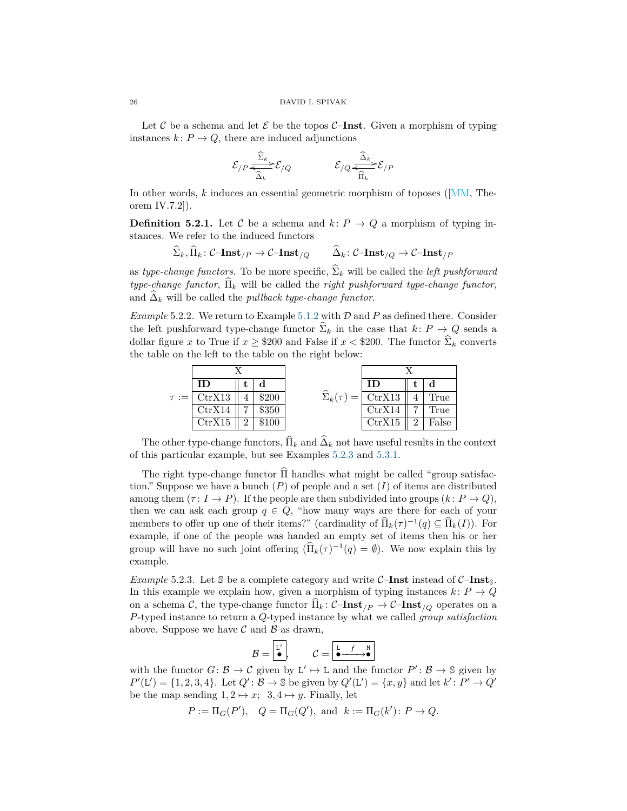Let  $C$  be a schema and let  $\mathcal E$  be the topos  $C$ –**Inst**. Given a morphism of typing instances  $k: P \to Q$ , there are induced adjunctions

$$
\mathcal{E}_{/P}\frac{\widehat{\Sigma}_k}{\widehat{\Delta}_k}\mathcal{E}_{/Q} \qquad \qquad \mathcal{E}_{/Q}\frac{\widehat{\Delta}_k}{\widehat{\Pi}_k}\mathcal{E}_{/P}
$$

In other words, *k* induces an essential geometric morphism of toposes ([\[MM,](#page-28-18) Theorem IV.7.2]).

**Definition 5.2.1.** Let C be a schema and  $k: P \to Q$  a morphism of typing instances. We refer to the induced functors

$$
\widehat{\Sigma}_k, \widehat{\Pi}_k \colon \mathcal{C}\text{-Inst}_{/P} \to \mathcal{C}\text{-Inst}_{/Q} \qquad \widehat{\Delta}_k \colon \mathcal{C}\text{-Inst}_{/Q} \to \mathcal{C}\text{-Inst}_{/P}
$$

as *type-change functors*. To be more specific,  $\hat{\Sigma}_k$  will be called the *left pushforward type-change functor*,  $\hat{\Pi}_k$  will be called the *right pushforward type-change functor*, and  $\Delta_k$  will be called the *pullback type-change functor*.

*Example* 5.2.2*.* We return to Example [5.1.2](#page-23-0) with D and *P* as defined there. Consider the left pushforward type-change functor  $\widehat{\Sigma}_k$  in the case that  $k: P \to Q$  sends a dollar figure *x* to True if  $x \geq 200$  and False if  $x < 200$ . The functor  $\hat{\Sigma}_k$  converts the table on the left to the table on the right below:



The other type-change functors,  $\Pi_k$  and  $\Delta_k$  not have useful results in the context of this particular example, but see Examples [5.2.3](#page-25-0) and [5.3.1.](#page-26-1)

The right type-change functor  $\Pi$  handles what might be called "group satisfaction." Suppose we have a bunch  $(P)$  of people and a set  $(I)$  of items are distributed among them  $(\tau : I \to P)$ . If the people are then subdivided into groups  $(k: P \to Q)$ , then we can ask each group  $q \in Q$ , "how many ways are there for each of your members to offer up one of their items?" (cardinality of  $\widehat{\Pi}_k(\tau)^{-1}(q) \subseteq \widehat{\Pi}_k(I)$ ). For example, if one of the people was handed an empty set of items then his or her group will have no such joint offering  $(\widehat{\Pi}_k(\tau)^{-1}(q) = \emptyset)$ . We now explain this by example.

<span id="page-25-0"></span>*Example* 5.2.3*.* Let  $\mathcal{S}$  be a complete category and write  $\mathcal{C}-$ **Inst** instead of  $\mathcal{C}-$ **Inst**<sub> $\mathcal{S}$ .</sub> In this example we explain how, given a morphism of typing instances  $k: P \to Q$ on a schema C, the type-change functor  $\Pi_k$ :  $C$ –**Inst**<sub>*/P*</sub>  $\rightarrow$   $C$ –**Inst**<sub>*/O*</sub> operates on a *P*-typed instance to return a *Q*-typed instance by what we called *group satisfaction* above. Suppose we have  $\mathcal C$  and  $\mathcal B$  as drawn,

$$
\mathcal{B} = \boxed{\overset{\mathbf{L}'}{\bullet}}, \qquad \mathcal{C} = \boxed{\overset{\mathbf{L} \ \bullet \ \quad \mathbf{f} \ \ \mathbf{M}}{\bullet}}
$$

with the functor  $G: \mathcal{B} \to \mathcal{C}$  given by  $L' \mapsto L$  and the functor  $P' : \mathcal{B} \to \mathcal{S}$  given by  $P'(\mathsf{L}') = \{1, 2, 3, 4\}$ . Let  $Q' : \mathcal{B} \to \mathbb{S}$  be given by  $Q'(\mathsf{L}') = \{x, y\}$  and let  $k' : P' \to Q'$ be the map sending  $1, 2 \mapsto x$ ;  $3, 4 \mapsto y$ . Finally, let

$$
P := \Pi_G(P'), \quad Q = \Pi_G(Q'), \text{ and } k := \Pi_G(k') : P \to Q.
$$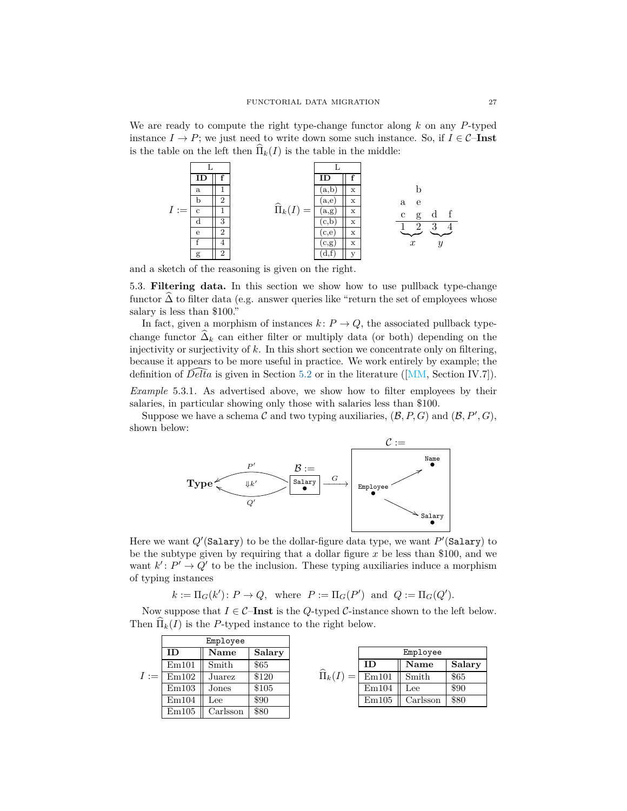We are ready to compute the right type-change functor along *k* on any *P*-typed instance  $I \to P$ ; we just need to write down some such instance. So, if  $I \in \mathcal{C}-\mathbf{Inst}$ is the table on the left then  $\widehat{\Pi}_k(I)$  is the table in the middle:



and a sketch of the reasoning is given on the right.

<span id="page-26-0"></span>5.3. **Filtering data.** In this section we show how to use pullback type-change functor  $\Delta$  to filter data (e.g. answer queries like "return the set of employees whose salary is less than \$100."

In fact, given a morphism of instances  $k: P \to Q$ , the associated pullback typechange functor  $\Delta_k$  can either filter or multiply data (or both) depending on the injectivity or surjectivity of *k*. In this short section we concentrate only on filtering, because it appears to be more useful in practice. We work entirely by example; the definition of  $Delta$  is given in Section [5.2](#page-24-2) or in the literature ([\[MM,](#page-28-18) Section IV.7]).

<span id="page-26-1"></span>*Example* 5.3.1*.* As advertised above, we show how to filter employees by their salaries, in particular showing only those with salaries less than \$100.

Suppose we have a schema C and two typing auxiliaries,  $(\mathcal{B}, P, G)$  and  $(\mathcal{B}, P', G)$ , shown below:



Here we want  $Q'$ (Salary) to be the dollar-figure data type, we want  $P'$ (Salary) to be the subtype given by requiring that a dollar figure *x* be less than \$100, and we want  $k' : P' \to Q'$  to be the inclusion. These typing auxiliaries induce a morphism of typing instances

 $k := \Pi_G(k') : P \to Q$ , where  $P := \Pi_G(P')$  and  $Q := \Pi_G(Q')$ *.* 

Now suppose that  $I \in \mathcal{C}$ **-Inst** is the *Q*-typed  $\mathcal{C}$ -instance shown to the left below. Then  $\widehat{\Pi}_k(I)$  is the *P*-typed instance to the right below.

|        | Employee |          |        |                      |          |          |        |  |
|--------|----------|----------|--------|----------------------|----------|----------|--------|--|
|        | ID       | Name     | Salary |                      | Employee |          |        |  |
|        | Em101    | Smith    | \$65   |                      | ID       | Name     | Salary |  |
| $I :=$ | Em102    | Juarez   | \$120  | $\widehat{\Pi}_k(I)$ | Em101    | Smith    | \$65   |  |
|        | Em103    | Jones    | \$105  |                      | Em104    | Lee      | \$90   |  |
|        | Em104    | Lee      | \$90   |                      | Em105    | Carlsson | \$80   |  |
|        | Em105    | Carlsson | \$80   |                      |          |          |        |  |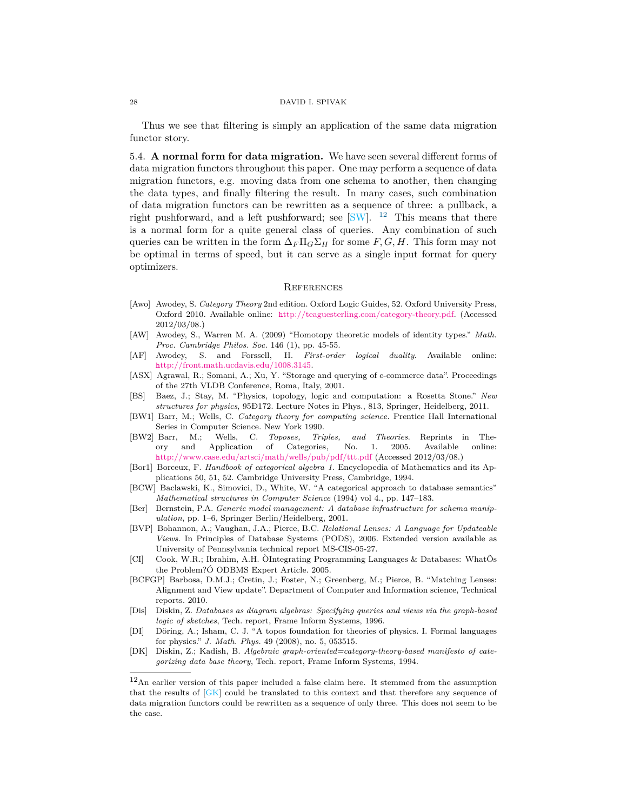Thus we see that filtering is simply an application of the same data migration functor story.

5.4. **A normal form for data migration.** We have seen several different forms of data migration functors throughout this paper. One may perform a sequence of data migration functors, e.g. moving data from one schema to another, then changing the data types, and finally filtering the result. In many cases, such combination of data migration functors can be rewritten as a sequence of three: a pullback, a right pushforward, and a left pushforward; see  $\text{S}\text{W}$ . <sup>[12](#page-27-11)</sup> This means that there is a normal form for a quite general class of queries. Any combination of such queries can be written in the form  $\Delta_F \Pi_G \Sigma_H$  for some *F*, *G*, *H*. This form may not be optimal in terms of speed, but it can serve as a single input format for query optimizers.

## <span id="page-27-0"></span>**REFERENCES**

- <span id="page-27-7"></span>[Awo] Awodey, S. *Category Theory* 2nd edition. Oxford Logic Guides, 52. Oxford University Press, Oxford 2010. Available online: h[ttp://teaguesterling.com/category-theory.pdf.](http://teaguesterling.com/category-theory.pdf) (Accessed 2012/03/08.)
- [AW] Awodey, S., Warren M. A. (2009) "Homotopy theoretic models of identity types." *Math. Proc. Cambridge Philos. Soc.* 146 (1), pp. 45-55.
- [AF] Awodey, S. and Forssell, H. *First-order logical duality*. Available online: h[ttp://front.math.ucdavis.edu/1008.3145.](http://front.math.ucdavis.edu/1008.3145)
- <span id="page-27-5"></span>[ASX] Agrawal, R.; Somani, A.; Xu, Y. "Storage and querying of e-commerce data". Proceedings of the 27th VLDB Conference, Roma, Italy, 2001.
- <span id="page-27-2"></span>[BS] Baez, J.; Stay, M. "Physics, topology, logic and computation: a Rosetta Stone." *New structures for physics*, 95Ð172. Lecture Notes in Phys., 813, Springer, Heidelberg, 2011.
- <span id="page-27-8"></span>[BW1] Barr, M.; Wells, C. *Category theory for computing science.* Prentice Hall International Series in Computer Science. New York 1990.
- <span id="page-27-10"></span>[BW2] Barr, M.; Wells, C. *Toposes, Triples, and Theories*. Reprints in Theory and Application of Categories, No. 1. 2005. Available online: h[ttp://www.case.edu/artsci/math/wells/pub/pdf/ttt.pdf](http://www.case.edu/artsci/math/wells/pub/pdf/ttt.pdf) (Accessed 2012/03/08.)
- <span id="page-27-9"></span>[Bor1] Borceux, F. *Handbook of categorical algebra 1.* Encyclopedia of Mathematics and its Applications 50, 51, 52. Cambridge University Press, Cambridge, 1994.
- <span id="page-27-1"></span>[BCW] Baclawski, K., Simovici, D., White, W. "A categorical approach to database semantics" *Mathematical structures in Computer Science* (1994) vol 4., pp. 147–183.
- [Ber] Bernstein, P.A. *Generic model management: A database infrastructure for schema manipulation*, pp. 1–6, Springer Berlin/Heidelberg, 2001.
- [BVP] Bohannon, A.; Vaughan, J.A.; Pierce, B.C. *Relational Lenses: A Language for Updateable Views.* In Principles of Database Systems (PODS), 2006. Extended version available as University of Pennsylvania technical report MS-CIS-05-27.
- <span id="page-27-6"></span>[CI] Cook, W.R.; Ibrahim, A.H. ÒIntegrating Programming Languages & Databases: WhatÕs the Problem?Ó ODBMS Expert Article. 2005.
- <span id="page-27-4"></span>[BCFGP] Barbosa, D.M.J.; Cretin, J.; Foster, N.; Greenberg, M.; Pierce, B. "Matching Lenses: Alignment and View update". Department of Computer and Information science, Technical reports. 2010.
- [Dis] Diskin, Z. *Databases as diagram algebras: Specifying queries and views via the graph-based logic of sketches*, Tech. report, Frame Inform Systems, 1996.
- <span id="page-27-3"></span>[DI] Döring, A.; Isham, C. J. "A topos foundation for theories of physics. I. Formal languages for physics." *J. Math. Phys.* 49 (2008), no. 5, 053515.
- [DK] Diskin, Z.; Kadish, B. *Algebraic graph-oriented=category-theory-based manifesto of categorizing data base theory*, Tech. report, Frame Inform Systems, 1994.

<span id="page-27-11"></span><sup>12</sup>An earlier version of this paper included a false claim here. It stemmed from the assumption that the results of [\[GK\]](#page-28-20) could be translated to this context and that therefore any sequence of data migration functors could be rewritten as a sequence of only three. This does not seem to be the case.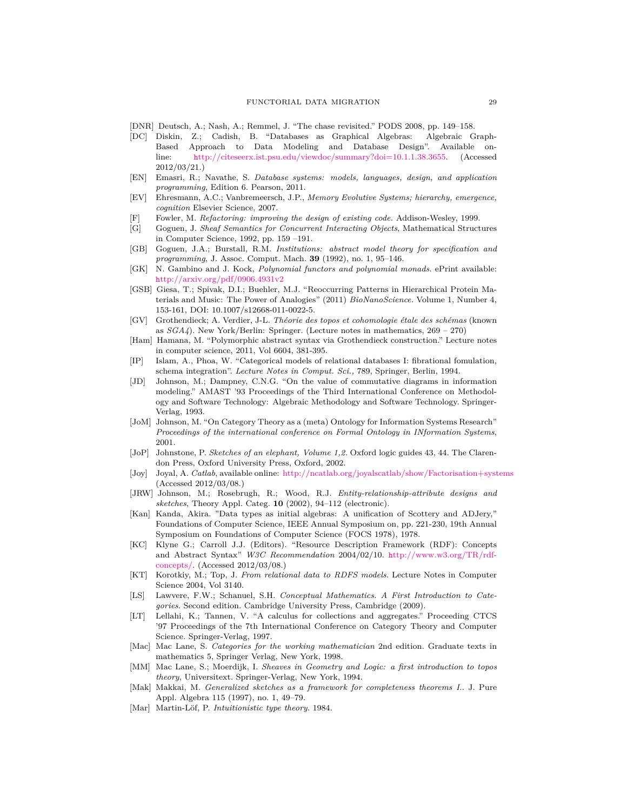- <span id="page-28-15"></span>[DNR] Deutsch, A.; Nash, A.; Remmel, J. "The chase revisited." PODS 2008, pp. 149–158.
- <span id="page-28-6"></span>[DC] Diskin, Z.; Cadish, B. "Databases as Graphical Algebras: Algebraic Graph-Based Approach to Data Modeling and Database Design". Available online: h[ttp://citeseerx.ist.psu.edu/viewdoc/summary?doi=10.1.1.38.3655.](http://citeseerx.ist.psu.edu/viewdoc/summary?doi=10.1.1.38.3655) (Accessed 2012/03/21.)
- <span id="page-28-12"></span>[EN] Emasri, R.; Navathe, S. *Database systems: models, languages, design, and application programming*, Edition 6. Pearson, 2011.
- <span id="page-28-8"></span>[EV] Ehresmann, A.C.; Vanbremeersch, J.P., *Memory Evolutive Systems; hierarchy, emergence, cognition* Elsevier Science, 2007.
- Fowler, M. *Refactoring: improving the design of existing code.* Addison-Wesley, 1999.
- [G] Goguen, J. *Sheaf Semantics for Concurrent Interacting Objects*, Mathematical Structures in Computer Science, 1992, pp. 159 –191.
- [GB] Goguen, J.A.; Burstall, R.M. *Institutions: abstract model theory for specification and programming*, J. Assoc. Comput. Mach. **39** (1992), no. 1, 95–146.
- <span id="page-28-20"></span>[GK] N. Gambino and J. Kock, *Polynomial functors and polynomial monads*. ePrint available: h[ttp://arxiv.org/pdf/0906.4931v2](http://arxiv.org/pdf/0906.4931v2)
- <span id="page-28-7"></span>[GSB] Giesa, T.; Spivak, D.I.; Buehler, M.J. "Reoccurring Patterns in Hierarchical Protein Materials and Music: The Power of Analogies" (2011) *BioNanoScience.* Volume 1, Number 4, 153-161, DOI: 10.1007/s12668-011-0022-5.
- <span id="page-28-17"></span>[GV] Grothendieck; A. Verdier, J-L. *Théorie des topos et cohomologie étale des schémas* (known as *SGA4*). New York/Berlin: Springer. (Lecture notes in mathematics, 269 – 270)
- <span id="page-28-2"></span>[Ham] Hamana, M. "Polymorphic abstract syntax via Grothendieck construction." Lecture notes in computer science, 2011, Vol 6604, 381-395.
- <span id="page-28-5"></span>[IP] Islam, A., Phoa, W. "Categorical models of relational databases I: fibrational fomulation, schema integration". *Lecture Notes in Comput. Sci.,* 789, Springer, Berlin, 1994.
- <span id="page-28-9"></span>[JD] Johnson, M.; Dampney, C.N.G. "On the value of commutative diagrams in information modeling." AMAST '93 Proceedings of the Third International Conference on Methodology and Software Technology: Algebraic Methodology and Software Technology. Springer-Verlag, 1993.
- <span id="page-28-3"></span>[JoM] Johnson, M. "On Category Theory as a (meta) Ontology for Information Systems Research" *Proceedings of the international conference on Formal Ontology in INformation Systems*, 2001.
- <span id="page-28-19"></span>[JoP] Johnstone, P. *Sketches of an elephant, Volume 1,2.* Oxford logic guides 43, 44. The Clarendon Press, Oxford University Press, Oxford, 2002.
- [Joy] Joyal, A. *Catlab*, available online: <http://ncatlab.org/joyalscatlab/show/Factorisation+systems> (Accessed 2012/03/08.)
- <span id="page-28-4"></span>[JRW] Johnson, M.; Rosebrugh, R.; Wood, R.J. *Entity-relationship-attribute designs and sketches*, Theory Appl. Categ. **10** (2002), 94–112 (electronic).
- <span id="page-28-1"></span>[Kan] Kanda, Akira. "Data types as initial algebras: A unification of Scottery and ADJery," Foundations of Computer Science, IEEE Annual Symposium on, pp. 221-230, 19th Annual Symposium on Foundations of Computer Science (FOCS 1978), 1978.
- <span id="page-28-10"></span>[KC] Klyne G.; Carroll J.J. (Editors). "Resource Description Framework (RDF): Concepts and Abstract Syntax" *W3C Recommendation* 2004/02/10. h[ttp://www.w3.org/TR/rdf](http://www.w3.org/TR/rdf-concepts/)[concepts/.](http://www.w3.org/TR/rdf-concepts/) (Accessed 2012/03/08.)
- <span id="page-28-11"></span>[KT] Korotkiy, M.; Top, J. *From relational data to RDFS models*. Lecture Notes in Computer Science 2004, Vol 3140.
- <span id="page-28-14"></span>[LS] Lawvere, F.W.; Schanuel, S.H. *Conceptual Mathematics. A First Introduction to Categories*. Second edition. Cambridge University Press, Cambridge (2009).
- <span id="page-28-16"></span>[LT] Lellahi, K.; Tannen, V. "A calculus for collections and aggregates." Proceeding CTCS '97 Proceedings of the 7th International Conference on Category Theory and Computer Science. Springer-Verlag, 1997.
- <span id="page-28-13"></span>[Mac] Mac Lane, S. *Categories for the working mathematician* 2nd edition. Graduate texts in mathematics 5, Springer Verlag, New York, 1998.
- <span id="page-28-18"></span>[MM] Mac Lane, S.; Moerdijk, I. *Sheaves in Geometry and Logic: a first introduction to topos theory*, Universitext. Springer-Verlag, New York, 1994.
- [Mak] Makkai, M. *Generalized sketches as a framework for completeness theorems I.*. J. Pure Appl. Algebra 115 (1997), no. 1, 49–79.
- <span id="page-28-0"></span>[Mar] Martin-Löf, P. *Intuitionistic type theory*. 1984.